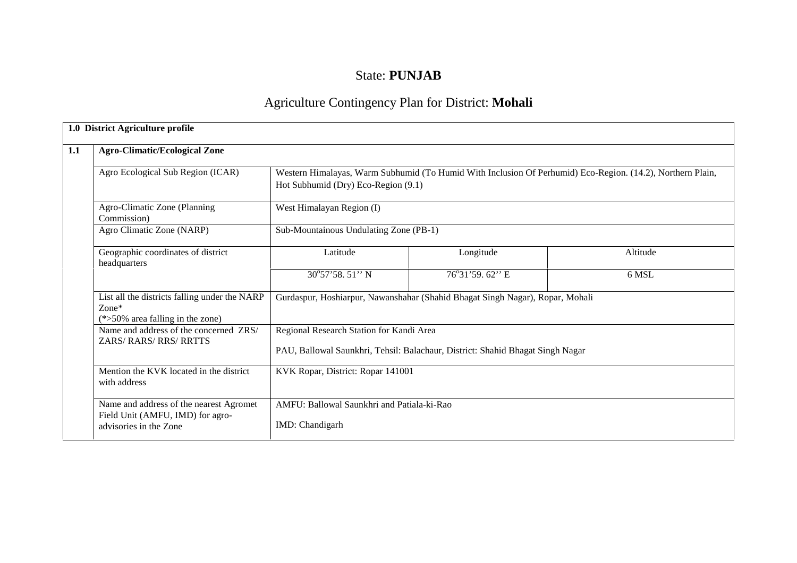# State: **PUNJAB**

# Agriculture Contingency Plan for District: **Mohali**

| 1.0 District Agriculture profile                                                                      |                                                                       |                                                                                                            |          |
|-------------------------------------------------------------------------------------------------------|-----------------------------------------------------------------------|------------------------------------------------------------------------------------------------------------|----------|
| <b>Agro-Climatic/Ecological Zone</b>                                                                  |                                                                       |                                                                                                            |          |
| Agro Ecological Sub Region (ICAR)                                                                     | Hot Subhumid (Dry) Eco-Region (9.1)                                   | Western Himalayas, Warm Subhumid (To Humid With Inclusion Of Perhumid) Eco-Region. (14.2), Northern Plain, |          |
| Agro-Climatic Zone (Planning<br>Commission)                                                           | West Himalayan Region (I)                                             |                                                                                                            |          |
| Agro Climatic Zone (NARP)                                                                             | Sub-Mountainous Undulating Zone (PB-1)                                |                                                                                                            |          |
| Geographic coordinates of district<br>headquarters                                                    | Latitude                                                              | Longitude                                                                                                  | Altitude |
|                                                                                                       | 30°57'58.51" N                                                        | 76°31'59.62" E                                                                                             | 6 MSL    |
| List all the districts falling under the NARP<br>$Zone*$<br>$(*>50\%$ area falling in the zone)       |                                                                       | Gurdaspur, Hoshiarpur, Nawanshahar (Shahid Bhagat Singh Nagar), Ropar, Mohali                              |          |
| Name and address of the concerned ZRS/<br>ZARS/RARS/RRS/RRTTS                                         | Regional Research Station for Kandi Area                              | PAU, Ballowal Saunkhri, Tehsil: Balachaur, District: Shahid Bhagat Singh Nagar                             |          |
| Mention the KVK located in the district<br>with address                                               | KVK Ropar, District: Ropar 141001                                     |                                                                                                            |          |
| Name and address of the nearest Agromet<br>Field Unit (AMFU, IMD) for agro-<br>advisories in the Zone | AMFU: Ballowal Saunkhri and Patiala-ki-Rao<br><b>IMD</b> : Chandigarh |                                                                                                            |          |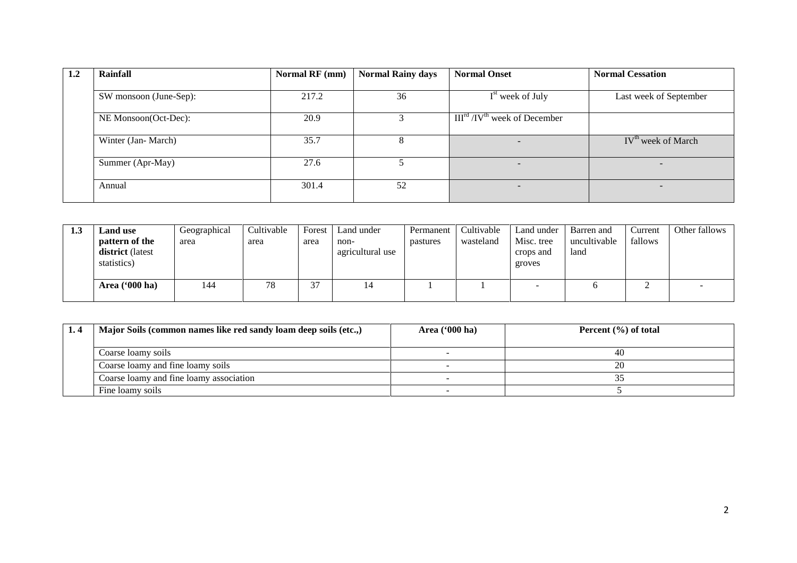| 1.2 | Rainfall               | Normal RF (mm) | <b>Normal Rainy days</b> | <b>Normal Onset</b>             | <b>Normal Cessation</b>        |
|-----|------------------------|----------------|--------------------------|---------------------------------|--------------------------------|
|     | SW monsoon (June-Sep): | 217.2          | 36                       | $Ist$ week of July              | Last week of September         |
|     | NE Monsoon(Oct-Dec):   | 20.9           |                          | $IIIrd / IVth$ week of December |                                |
|     | Winter (Jan-March)     | 35.7           | 8                        |                                 | IV <sup>th</sup> week of March |
|     | Summer (Apr-May)       | 27.6           |                          | $\sim$                          | $\overline{\phantom{a}}$       |
|     | Annual                 | 301.4          | 52                       |                                 | $\overline{\phantom{a}}$       |

| 1.J | <b>Land use</b><br>pattern of the<br>district (latest<br>statistics) | Geographical<br>area | Cultivable<br>area | Forest<br>area          | Land under<br>non-<br>agricultural use | Permanent<br>pastures | Cultivable<br>wasteland | Land under<br>Misc. tree<br>crops and<br>groves | Barren and<br>uncultivable<br>land | Current<br>fallows | Other fallows            |
|-----|----------------------------------------------------------------------|----------------------|--------------------|-------------------------|----------------------------------------|-----------------------|-------------------------|-------------------------------------------------|------------------------------------|--------------------|--------------------------|
|     | Area ('000 ha)                                                       | 144                  | 78                 | $\sim$<br>$\sim$<br>ر ر | 14                                     |                       |                         | ۰                                               |                                    | ∸                  | $\overline{\phantom{a}}$ |

| Major Soils (common names like red sandy loam deep soils (etc.,) | Area $(900 \text{ ha})$ | Percent $(\% )$ of total |
|------------------------------------------------------------------|-------------------------|--------------------------|
|                                                                  |                         |                          |
| Coarse loamy soils                                               |                         | 40                       |
| Coarse loamy and fine loamy soils                                |                         | 20                       |
| Coarse loamy and fine loamy association                          |                         |                          |
| Fine loamy soils                                                 |                         |                          |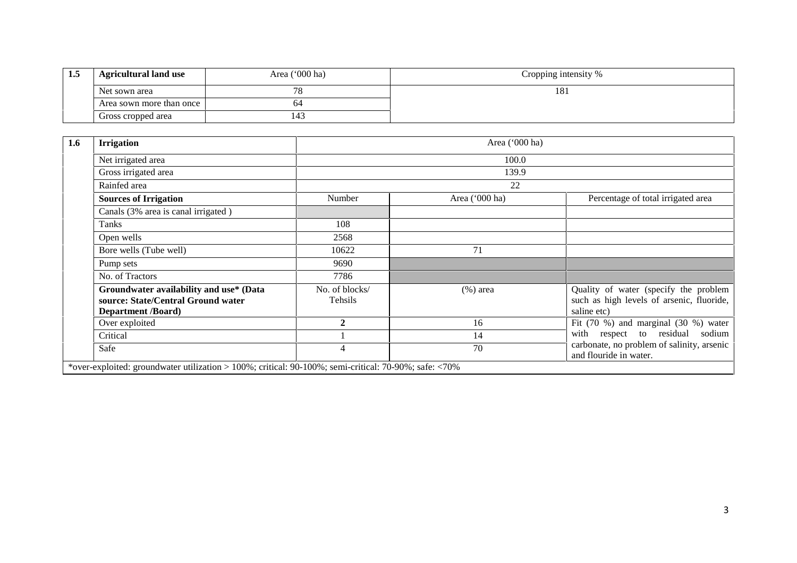| 1.5 | <b>Agricultural land use</b> | Area ('000 ha) | Cropping intensity % |
|-----|------------------------------|----------------|----------------------|
|     | Net sown area                | 78             | 181                  |
|     | Area sown more than once     | 64             |                      |
|     | Gross cropped area           | 143            |                      |

| <b>Irrigation</b>                                                                                          |                           | Area $('000 ha)$ |                                                                                                   |  |  |  |  |
|------------------------------------------------------------------------------------------------------------|---------------------------|------------------|---------------------------------------------------------------------------------------------------|--|--|--|--|
| Net irrigated area                                                                                         | 100.0                     |                  |                                                                                                   |  |  |  |  |
| Gross irrigated area                                                                                       |                           | 139.9            |                                                                                                   |  |  |  |  |
| Rainfed area                                                                                               |                           | 22               |                                                                                                   |  |  |  |  |
| <b>Sources of Irrigation</b>                                                                               | Number                    | Area ('000 ha)   | Percentage of total irrigated area                                                                |  |  |  |  |
| Canals (3% area is canal irrigated)                                                                        |                           |                  |                                                                                                   |  |  |  |  |
| Tanks                                                                                                      | 108                       |                  |                                                                                                   |  |  |  |  |
| Open wells                                                                                                 | 2568                      |                  |                                                                                                   |  |  |  |  |
| Bore wells (Tube well)                                                                                     | 10622                     | 71               |                                                                                                   |  |  |  |  |
| Pump sets                                                                                                  | 9690                      |                  |                                                                                                   |  |  |  |  |
| No. of Tractors                                                                                            | 7786                      |                  |                                                                                                   |  |  |  |  |
| Groundwater availability and use* (Data<br>source: State/Central Ground water<br><b>Department /Board)</b> | No. of blocks/<br>Tehsils | $(\%)$ area      | Quality of water (specify the problem<br>such as high levels of arsenic, fluoride,<br>saline etc) |  |  |  |  |
| Over exploited                                                                                             | $\mathfrak{D}$            | 16               | Fit $(70 \%)$ and marginal $(30 \%)$ water                                                        |  |  |  |  |
| Critical                                                                                                   |                           | 14               | respect to residual<br>with<br>sodium                                                             |  |  |  |  |
| Safe                                                                                                       | 4                         | 70               | carbonate, no problem of salinity, arsenic<br>and flouride in water.                              |  |  |  |  |
| *over-exploited: groundwater utilization > 100%; critical: 90-100%; semi-critical: 70-90%; safe: <70%      |                           |                  |                                                                                                   |  |  |  |  |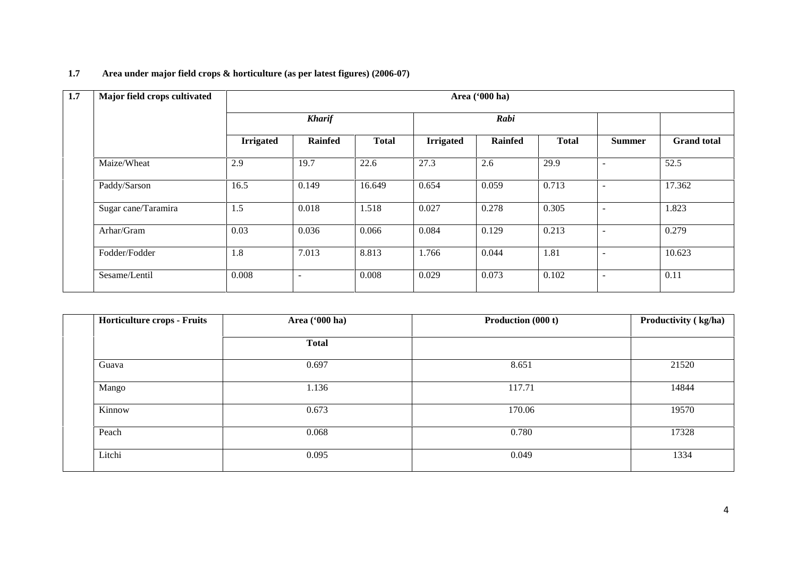# **1.7 Area under major field crops & horticulture (as per latest figures) (2006-07)**

| 1.7 | Major field crops cultivated | Area ('000 ha)   |                |              |                  |                |              |                          |                    |  |
|-----|------------------------------|------------------|----------------|--------------|------------------|----------------|--------------|--------------------------|--------------------|--|
|     |                              |                  | <b>Kharif</b>  |              |                  | Rabi           |              |                          |                    |  |
|     |                              | <b>Irrigated</b> | <b>Rainfed</b> | <b>Total</b> | <b>Irrigated</b> | <b>Rainfed</b> | <b>Total</b> | <b>Summer</b>            | <b>Grand</b> total |  |
|     | Maize/Wheat                  | 2.9              | 19.7           | 22.6         | 27.3             | 2.6            | 29.9         | $\overline{\phantom{a}}$ | 52.5               |  |
|     | Paddy/Sarson                 | 16.5             | 0.149          | 16.649       | 0.654            | 0.059          | 0.713        | $\overline{\phantom{a}}$ | 17.362             |  |
|     | Sugar cane/Taramira          | 1.5              | 0.018          | 1.518        | 0.027            | 0.278          | 0.305        | $\overline{\phantom{a}}$ | 1.823              |  |
|     | Arhar/Gram                   | 0.03             | 0.036          | 0.066        | 0.084            | 0.129          | 0.213        |                          | 0.279              |  |
|     | Fodder/Fodder                | 1.8              | 7.013          | 8.813        | 1.766            | 0.044          | 1.81         | $\overline{\phantom{a}}$ | 10.623             |  |
|     | Sesame/Lentil                | 0.008            | $\blacksquare$ | 0.008        | 0.029            | 0.073          | 0.102        | $\overline{\phantom{a}}$ | 0.11               |  |

| Area ('000 ha) | Production (000 t) | Productivity (kg/ha) |
|----------------|--------------------|----------------------|
| <b>Total</b>   |                    |                      |
| 0.697          | 8.651              | 21520                |
| 1.136          | 117.71             | 14844                |
| 0.673          | 170.06             | 19570                |
| 0.068          | 0.780              | 17328                |
| 0.095          | 0.049              | 1334                 |
|                |                    |                      |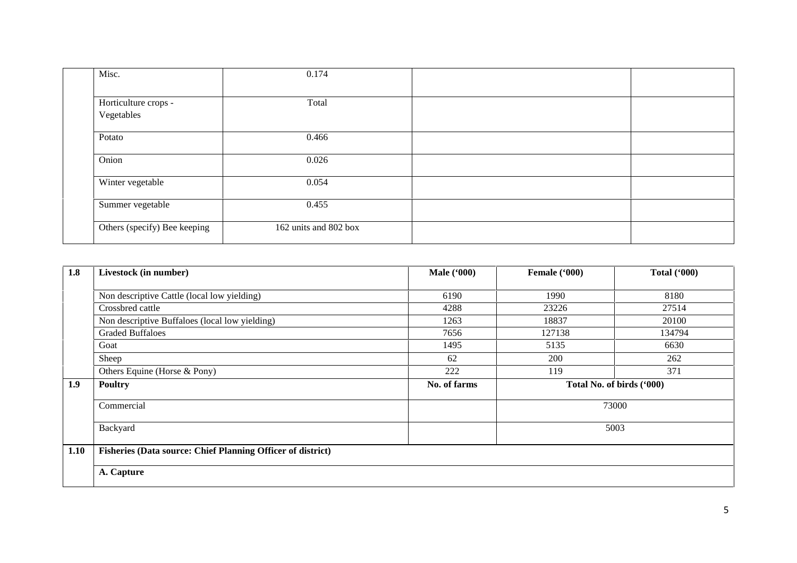| Misc.                        | 0.174                 |  |
|------------------------------|-----------------------|--|
|                              |                       |  |
| Horticulture crops -         | Total                 |  |
| Vegetables                   |                       |  |
| Potato                       | 0.466                 |  |
| Onion                        | 0.026                 |  |
| Winter vegetable             | 0.054                 |  |
| Summer vegetable             | 0.455                 |  |
| Others (specify) Bee keeping | 162 units and 802 box |  |

| 1.8  | Livestock (in number)                                              | <b>Male</b> ('000) | Female ('000)             | Total $(900)$ |
|------|--------------------------------------------------------------------|--------------------|---------------------------|---------------|
|      |                                                                    |                    |                           |               |
|      | Non descriptive Cattle (local low yielding)                        | 6190               | 1990                      | 8180          |
|      | Crossbred cattle                                                   | 4288               | 23226                     | 27514         |
|      | Non descriptive Buffaloes (local low yielding)                     | 1263               | 18837                     | 20100         |
|      | <b>Graded Buffaloes</b>                                            | 7656               | 127138                    | 134794        |
|      | Goat                                                               | 1495               | 5135                      | 6630          |
|      | Sheep                                                              | 62                 | 200                       | 262           |
|      | Others Equine (Horse & Pony)                                       | 222                | 119                       | 371           |
| 1.9  | <b>Poultry</b>                                                     | No. of farms       | Total No. of birds ('000) |               |
|      | Commercial                                                         |                    |                           | 73000         |
|      | Backyard                                                           |                    | 5003                      |               |
| 1.10 | <b>Fisheries (Data source: Chief Planning Officer of district)</b> |                    |                           |               |
|      | A. Capture                                                         |                    |                           |               |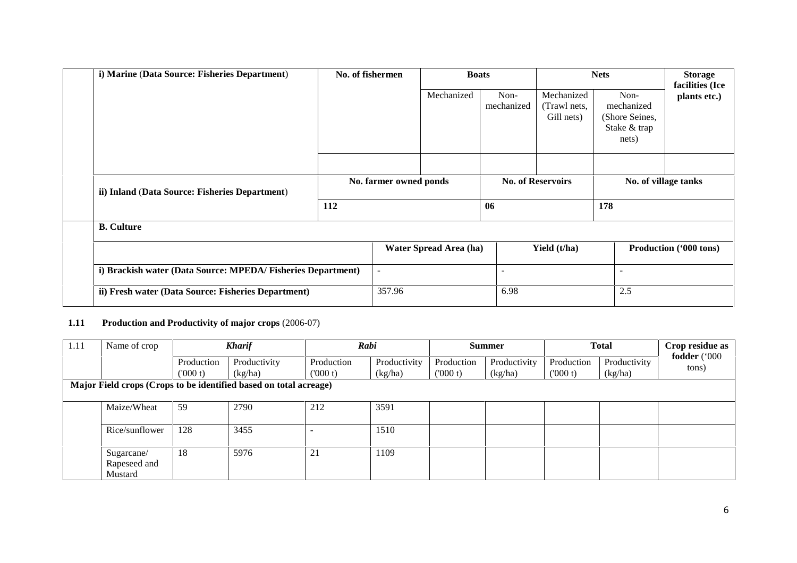| i) Marine (Data Source: Fisheries Department)               | No. of fishermen |                          | <b>Boats</b>           |                          | <b>Nets</b>                              |                                                               | <b>Storage</b><br>facilities (Ice |  |
|-------------------------------------------------------------|------------------|--------------------------|------------------------|--------------------------|------------------------------------------|---------------------------------------------------------------|-----------------------------------|--|
|                                                             |                  |                          | Mechanized             | Non-<br>mechanized       | Mechanized<br>(Trawl nets,<br>Gill nets) | Non-<br>mechanized<br>(Shore Seines,<br>Stake & trap<br>nets) | plants etc.)                      |  |
| ii) Inland (Data Source: Fisheries Department)              |                  | No. farmer owned ponds   |                        |                          | <b>No. of Reservoirs</b>                 |                                                               | No. of village tanks              |  |
|                                                             | 112              |                          |                        | 06                       |                                          | 178                                                           |                                   |  |
| <b>B.</b> Culture                                           |                  |                          |                        |                          |                                          |                                                               |                                   |  |
|                                                             |                  |                          | Water Spread Area (ha) |                          | Yield (t/ha)                             |                                                               | Production ('000 tons)            |  |
| i) Brackish water (Data Source: MPEDA/Fisheries Department) |                  | $\overline{\phantom{a}}$ |                        | $\overline{\phantom{a}}$ |                                          | $\overline{\phantom{a}}$                                      |                                   |  |
| ii) Fresh water (Data Source: Fisheries Department)         |                  | 357.96                   |                        | 6.98                     |                                          | 2.5                                                           |                                   |  |

## **1.11 Production and Productivity of major crops** (2006-07)

| 1.11 | Name of crop   |            | <b>Kharif</b>                                                     | Rabi       |              |            | <b>Summer</b> |            | <b>Total</b> | Crop residue as<br>fodder ('000 |
|------|----------------|------------|-------------------------------------------------------------------|------------|--------------|------------|---------------|------------|--------------|---------------------------------|
|      |                | Production | Productivity                                                      | Production | Productivity | Production | Productivity  | Production | Productivity |                                 |
|      |                | (000 t)    | (kg/ha)                                                           | (000 t)    | (kg/ha)      | (000 t)    | (kg/ha)       | (000 t)    | (kg/ha)      | tons)                           |
|      |                |            | Major Field crops (Crops to be identified based on total acreage) |            |              |            |               |            |              |                                 |
|      |                |            |                                                                   |            |              |            |               |            |              |                                 |
|      | Maize/Wheat    | 59         | 2790                                                              | 212        | 3591         |            |               |            |              |                                 |
|      |                |            |                                                                   |            |              |            |               |            |              |                                 |
|      | Rice/sunflower | 128        | 3455                                                              |            | 1510         |            |               |            |              |                                 |
|      |                |            |                                                                   |            |              |            |               |            |              |                                 |
|      | Sugarcane/     | 18         | 5976                                                              | 21         | 1109         |            |               |            |              |                                 |
|      | Rapeseed and   |            |                                                                   |            |              |            |               |            |              |                                 |
|      | Mustard        |            |                                                                   |            |              |            |               |            |              |                                 |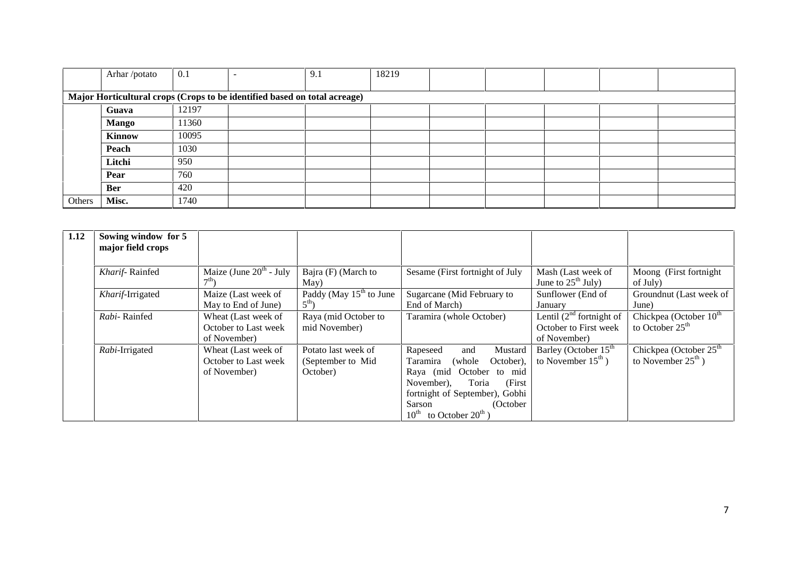|        | Arhar /potato                                                             | 0.1   |  | 9.1 | 18219 |  |  |  |  |
|--------|---------------------------------------------------------------------------|-------|--|-----|-------|--|--|--|--|
|        |                                                                           |       |  |     |       |  |  |  |  |
|        | Major Horticultural crops (Crops to be identified based on total acreage) |       |  |     |       |  |  |  |  |
|        | Guava                                                                     | 12197 |  |     |       |  |  |  |  |
|        | <b>Mango</b>                                                              | 11360 |  |     |       |  |  |  |  |
|        | <b>Kinnow</b>                                                             | 10095 |  |     |       |  |  |  |  |
|        | Peach                                                                     | 1030  |  |     |       |  |  |  |  |
|        | Litchi                                                                    | 950   |  |     |       |  |  |  |  |
|        | Pear                                                                      | 760   |  |     |       |  |  |  |  |
|        | Ber                                                                       | 420   |  |     |       |  |  |  |  |
| Others | Misc.                                                                     | 1740  |  |     |       |  |  |  |  |

| 1.12 | Sowing window for 5<br>major field crops |                                                             |                                                      |                                                                                                                                                                                                                                               |                                                                        |                                                            |
|------|------------------------------------------|-------------------------------------------------------------|------------------------------------------------------|-----------------------------------------------------------------------------------------------------------------------------------------------------------------------------------------------------------------------------------------------|------------------------------------------------------------------------|------------------------------------------------------------|
|      | Kharif-Rainfed                           | Maize (June $20th$ - July                                   | Bajra (F) (March to<br>May)                          | Sesame (First fortnight of July                                                                                                                                                                                                               | Mash (Last week of<br>June to $25^{\text{th}}$ July)                   | Moong (First fortnight<br>of July)                         |
|      | Kharif-Irrigated                         | Maize (Last week of<br>May to End of June)                  | Paddy (May $15th$ to June<br>$5^{\text{th}}$ )       | Sugarcane (Mid February to<br>End of March)                                                                                                                                                                                                   | Sunflower (End of<br>January                                           | Groundnut (Last week of<br>June)                           |
|      | Rabi-Rainfed                             | Wheat (Last week of<br>October to Last week<br>of November) | Raya (mid October to<br>mid November)                | Taramira (whole October)                                                                                                                                                                                                                      | Lentil $(2^{nd}$ fortnight of<br>October to First week<br>of November) | Chickpea (October 10 <sup>th</sup><br>to October $25th$    |
|      | Rabi-Irrigated                           | Wheat (Last week of<br>October to Last week<br>of November) | Potato last week of<br>(September to Mid<br>October) | Rapeseed<br>Mustard<br>and<br>October).<br><b>Taramira</b><br>(whole)<br>Raya (mid October to mid<br>(First)<br>Toria<br>November),<br>fortnight of September), Gobhi<br>Sarson<br>(October<br>$10^{\text{th}}$ to October $20^{\text{th}}$ ) | Barley (October 15 <sup>th</sup><br>to November $15^{\text{th}}$ )     | Chickpea (October $25th$<br>to November $25^{\text{th}}$ ) |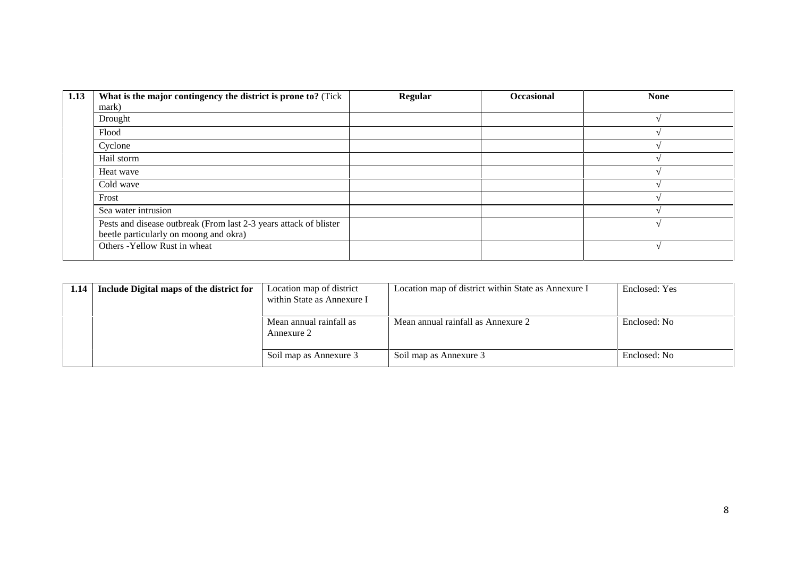| 1.13 | What is the major contingency the district is prone to? (Tick     | <b>Regular</b> | <b>Occasional</b> | <b>None</b> |
|------|-------------------------------------------------------------------|----------------|-------------------|-------------|
|      | mark)                                                             |                |                   |             |
|      | Drought                                                           |                |                   |             |
|      | Flood                                                             |                |                   |             |
|      | Cyclone                                                           |                |                   |             |
|      | Hail storm                                                        |                |                   |             |
|      | Heat wave                                                         |                |                   |             |
|      | Cold wave                                                         |                |                   |             |
|      | Frost                                                             |                |                   |             |
|      | Sea water intrusion                                               |                |                   |             |
|      | Pests and disease outbreak (From last 2-3 years attack of blister |                |                   |             |
|      | beetle particularly on moong and okra)                            |                |                   |             |
|      | Others - Yellow Rust in wheat                                     |                |                   |             |

| 1.14 | Include Digital maps of the district for | Location map of district<br>within State as Annexure I | Location map of district within State as Annexure I | Enclosed: Yes |
|------|------------------------------------------|--------------------------------------------------------|-----------------------------------------------------|---------------|
|      |                                          | Mean annual rainfall as<br>Annexure 2                  | Mean annual rainfall as Annexure 2                  | Enclosed: No  |
|      |                                          | Soil map as Annexure 3                                 | Soil map as Annexure 3                              | Enclosed: No  |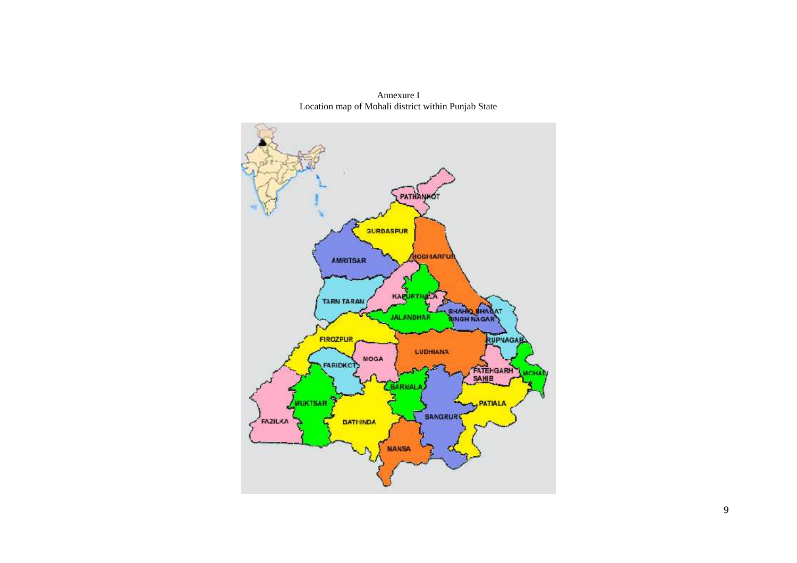

Annexure I Location map of Mohali district within Punjab State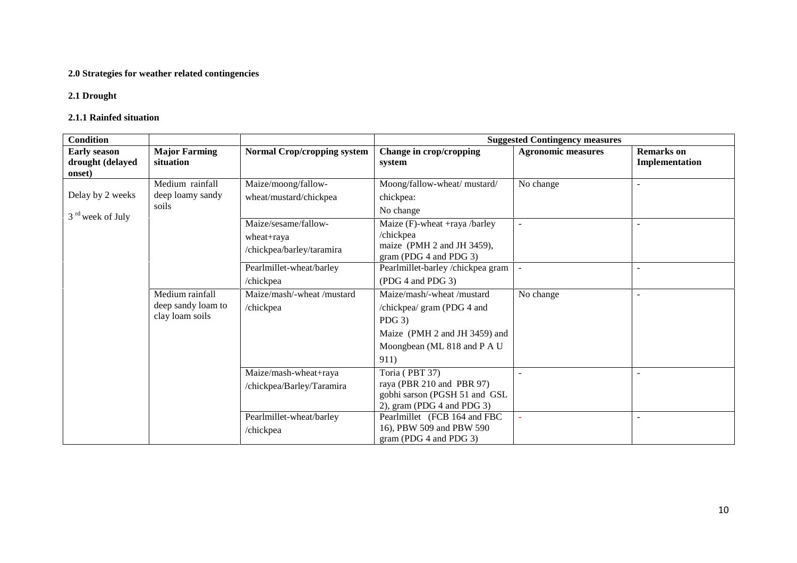## **2.0 Strategies for weather related contingencies**

### **2.1 Drought**

#### **2.1.1 Rainfed situation**

| <b>Condition</b>                                  |                                                          |                                                                 | <b>Suggested Contingency measures</b>                                                                                                       |                           |                                     |
|---------------------------------------------------|----------------------------------------------------------|-----------------------------------------------------------------|---------------------------------------------------------------------------------------------------------------------------------------------|---------------------------|-------------------------------------|
| <b>Early season</b><br>drought (delayed<br>onset) | <b>Major Farming</b><br>situation                        | <b>Normal Crop/cropping system</b>                              | Change in crop/cropping<br>system                                                                                                           | <b>Agronomic measures</b> | <b>Remarks</b> on<br>Implementation |
| Delay by 2 weeks                                  | Medium rainfall<br>deep loamy sandy<br>soils             | Maize/moong/fallow-<br>wheat/mustard/chickpea                   | Moong/fallow-wheat/ mustard/<br>chickpea:<br>No change                                                                                      | No change                 | $\sim$                              |
| 3 <sup>rd</sup> week of July                      |                                                          | Maize/sesame/fallow-<br>wheat+raya<br>/chickpea/barley/taramira | Maize (F)-wheat +raya /barley<br>/chickpea<br>maize (PMH 2 and JH 3459),<br>gram (PDG 4 and PDG 3)                                          |                           | $\sim$                              |
|                                                   |                                                          | Pearlmillet-wheat/barley<br>/chickpea                           | Pearlmillet-barley/chickpea gram<br>(PDG 4 and PDG 3)                                                                                       |                           | $\sim$                              |
|                                                   | Medium rainfall<br>deep sandy loam to<br>clay loam soils | Maize/mash/-wheat/mustard<br>/chickpea                          | Maize/mash/-wheat/mustard<br>/chickpea/ gram (PDG 4 and<br>$PDG$ 3)<br>Maize (PMH 2 and JH 3459) and<br>Moongbean (ML 818 and P A U<br>911) | No change                 | $\sim$                              |
|                                                   |                                                          | Maize/mash-wheat+raya<br>/chickpea/Barley/Taramira              | Toria (PBT 37)<br>raya (PBR 210 and PBR 97)<br>gobhi sarson (PGSH 51 and GSL<br>2), gram (PDG 4 and PDG 3)                                  |                           | $\blacksquare$                      |
|                                                   |                                                          | Pearlmillet-wheat/barley<br>/chickpea                           | Pearlmillet (FCB 164 and FBC<br>16), PBW 509 and PBW 590<br>gram (PDG 4 and PDG 3)                                                          |                           | $\sim$                              |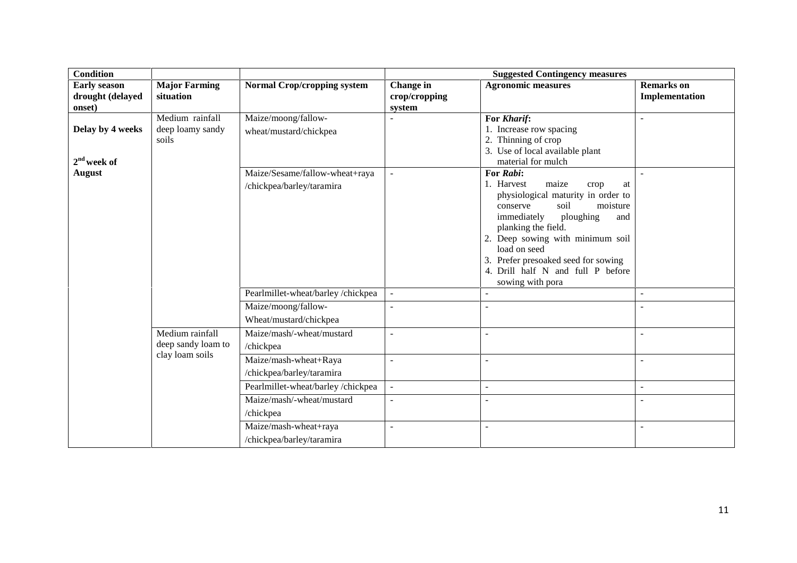| <b>Condition</b>                                  |                                              |                                                             |                                      | <b>Suggested Contingency measures</b>                                                                                                                                                                                                                                                                                           |                                     |
|---------------------------------------------------|----------------------------------------------|-------------------------------------------------------------|--------------------------------------|---------------------------------------------------------------------------------------------------------------------------------------------------------------------------------------------------------------------------------------------------------------------------------------------------------------------------------|-------------------------------------|
| <b>Early season</b><br>drought (delayed<br>onset) | <b>Major Farming</b><br>situation            | <b>Normal Crop/cropping system</b>                          | Change in<br>crop/cropping<br>system | <b>Agronomic measures</b>                                                                                                                                                                                                                                                                                                       | <b>Remarks</b> on<br>Implementation |
| Delay by 4 weeks<br>$2nd$ week of                 | Medium rainfall<br>deep loamy sandy<br>soils | Maize/moong/fallow-<br>wheat/mustard/chickpea               |                                      | For Kharif:<br>1. Increase row spacing<br>Thinning of crop<br>3. Use of local available plant<br>material for mulch                                                                                                                                                                                                             | $\sim$                              |
| <b>August</b>                                     |                                              | Maize/Sesame/fallow-wheat+raya<br>/chickpea/barley/taramira |                                      | For Rabi:<br>1. Harvest<br>maize<br>crop<br>at<br>physiological maturity in order to<br>soil<br>moisture<br>conserve<br>ploughing<br>immediately<br>and<br>planking the field.<br>2. Deep sowing with minimum soil<br>load on seed<br>Prefer presoaked seed for sowing<br>4. Drill half N and full P before<br>sowing with pora |                                     |
|                                                   |                                              | Pearlmillet-wheat/barley/chickpea                           | $\sim$                               | $\overline{a}$                                                                                                                                                                                                                                                                                                                  | $\sim$                              |
|                                                   |                                              | Maize/moong/fallow-<br>Wheat/mustard/chickpea               | $\overline{a}$                       |                                                                                                                                                                                                                                                                                                                                 | $\overline{a}$                      |
|                                                   | Medium rainfall<br>deep sandy loam to        | Maize/mash/-wheat/mustard<br>/chickpea                      | $\sim$                               | ÷,                                                                                                                                                                                                                                                                                                                              | $\blacksquare$                      |
|                                                   | clay loam soils                              | Maize/mash-wheat+Raya<br>/chickpea/barley/taramira          | $\sim$                               | $\sim$                                                                                                                                                                                                                                                                                                                          | $\mathbf{r}$                        |
|                                                   |                                              | Pearlmillet-wheat/barley/chickpea                           | $\sim$                               | $\sim$                                                                                                                                                                                                                                                                                                                          | $\sim$                              |
|                                                   |                                              | Maize/mash/-wheat/mustard<br>/chickpea                      | $\overline{a}$                       | $\sim$                                                                                                                                                                                                                                                                                                                          | $\sim$                              |
|                                                   |                                              | Maize/mash-wheat+raya<br>/chickpea/barley/taramira          |                                      | ÷.                                                                                                                                                                                                                                                                                                                              | $\sim$                              |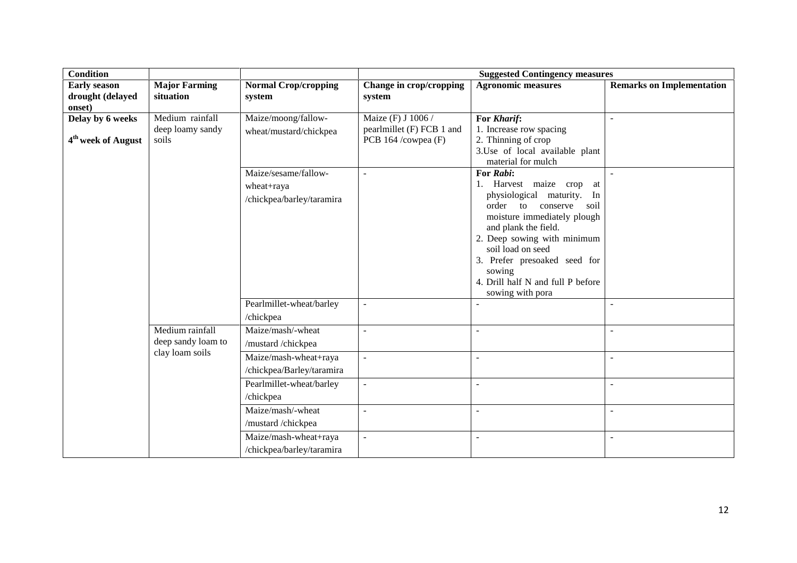| <b>Condition</b>                                   |                                              |                                                                 |                                                                        | <b>Suggested Contingency measures</b>                                                                                                                                                                                                                                                                                         |                                  |
|----------------------------------------------------|----------------------------------------------|-----------------------------------------------------------------|------------------------------------------------------------------------|-------------------------------------------------------------------------------------------------------------------------------------------------------------------------------------------------------------------------------------------------------------------------------------------------------------------------------|----------------------------------|
| <b>Early season</b><br>drought (delayed<br>onset)  | <b>Major Farming</b><br>situation            | <b>Normal Crop/cropping</b><br>system                           | Change in crop/cropping<br>system                                      | <b>Agronomic measures</b>                                                                                                                                                                                                                                                                                                     | <b>Remarks on Implementation</b> |
| Delay by 6 weeks<br>4 <sup>th</sup> week of August | Medium rainfall<br>deep loamy sandy<br>soils | Maize/moong/fallow-<br>wheat/mustard/chickpea                   | Maize (F) J 1006 /<br>pearlmillet (F) FCB 1 and<br>PCB 164 /cowpea (F) | For Kharif:<br>1. Increase row spacing<br>2. Thinning of crop<br>3. Use of local available plant<br>material for mulch                                                                                                                                                                                                        |                                  |
|                                                    |                                              | Maize/sesame/fallow-<br>wheat+raya<br>/chickpea/barley/taramira | $\sim$                                                                 | For Rabi:<br>1. Harvest maize crop<br>at<br>physiological<br>maturity.<br>In<br>order<br>conserve<br>soil<br>to<br>moisture immediately plough<br>and plank the field.<br>2. Deep sowing with minimum<br>soil load on seed<br>3. Prefer presoaked seed for<br>sowing<br>4. Drill half N and full P before<br>sowing with pora |                                  |
|                                                    |                                              | Pearlmillet-wheat/barley<br>/chickpea                           | $\blacksquare$                                                         |                                                                                                                                                                                                                                                                                                                               |                                  |
|                                                    | Medium rainfall<br>deep sandy loam to        | Maize/mash/-wheat<br>/mustard /chickpea                         | $\sim$                                                                 | ÷,                                                                                                                                                                                                                                                                                                                            | $\blacksquare$                   |
|                                                    | clay loam soils                              | Maize/mash-wheat+raya<br>/chickpea/Barley/taramira              | $\sim$                                                                 | L.                                                                                                                                                                                                                                                                                                                            | $\sim$                           |
|                                                    |                                              | Pearlmillet-wheat/barley<br>/chickpea                           | $\blacksquare$                                                         | $\blacksquare$                                                                                                                                                                                                                                                                                                                | $\sim$                           |
|                                                    |                                              | Maize/mash/-wheat<br>/mustard /chickpea                         | $\sim$                                                                 | $\overline{a}$                                                                                                                                                                                                                                                                                                                | $\sim$                           |
|                                                    |                                              | Maize/mash-wheat+raya<br>/chickpea/barley/taramira              | $\sim$                                                                 |                                                                                                                                                                                                                                                                                                                               |                                  |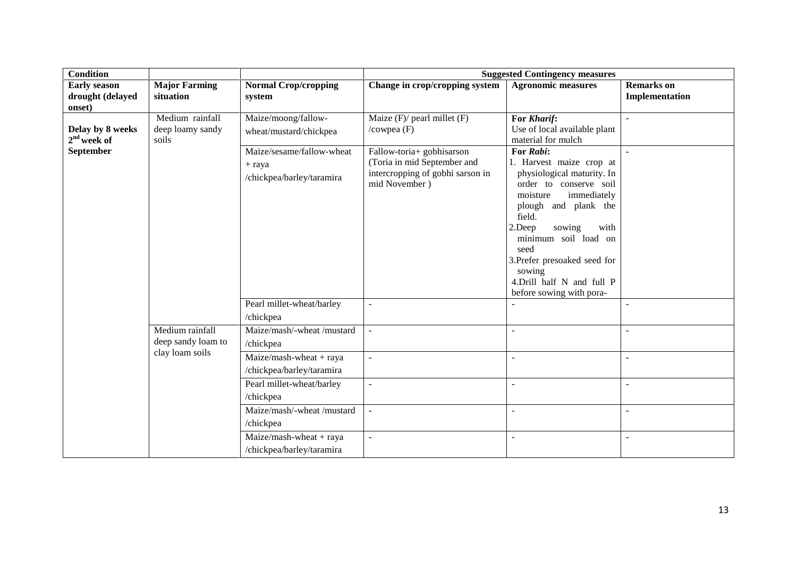| <b>Condition</b>                                  |                                              |                                                                    |                                                                                                               | <b>Suggested Contingency measures</b>                                                                                                                                                                                                                                                                                     |                                     |
|---------------------------------------------------|----------------------------------------------|--------------------------------------------------------------------|---------------------------------------------------------------------------------------------------------------|---------------------------------------------------------------------------------------------------------------------------------------------------------------------------------------------------------------------------------------------------------------------------------------------------------------------------|-------------------------------------|
| <b>Early season</b><br>drought (delayed<br>onset) | <b>Major Farming</b><br>situation            | <b>Normal Crop/cropping</b><br>system                              | Change in crop/cropping system                                                                                | <b>Agronomic measures</b>                                                                                                                                                                                                                                                                                                 | <b>Remarks</b> on<br>Implementation |
| Delay by 8 weeks<br>$2nd$ week of                 | Medium rainfall<br>deep loamy sandy<br>soils | Maize/moong/fallow-<br>wheat/mustard/chickpea                      | Maize $(F)/$ pearl millet $(F)$<br>/ $\text{cowpea}$ (F)                                                      | For Kharif:<br>Use of local available plant<br>material for mulch                                                                                                                                                                                                                                                         |                                     |
| <b>September</b>                                  |                                              | Maize/sesame/fallow-wheat<br>$+$ raya<br>/chickpea/barley/taramira | Fallow-toria+ gobhisarson<br>(Toria in mid September and<br>intercropping of gobhi sarson in<br>mid November) | For Rabi:<br>1. Harvest maize crop at<br>physiological maturity. In<br>order to conserve soil<br>moisture<br>immediately<br>plough and plank the<br>field.<br>2.Deep<br>sowing<br>with<br>minimum soil load on<br>seed<br>3. Prefer presoaked seed for<br>sowing<br>4.Drill half N and full P<br>before sowing with pora- |                                     |
|                                                   |                                              | Pearl millet-wheat/barley<br>/chickpea                             | $\blacksquare$                                                                                                |                                                                                                                                                                                                                                                                                                                           |                                     |
|                                                   | Medium rainfall<br>deep sandy loam to        | Maize/mash/-wheat /mustard<br>/chickpea                            | $\overline{\phantom{a}}$                                                                                      | $\overline{\phantom{a}}$                                                                                                                                                                                                                                                                                                  | $\sim$                              |
|                                                   | clay loam soils                              | $Maize/mash$ -wheat + raya<br>/chickpea/barley/taramira            | $\overline{\phantom{a}}$                                                                                      | $\mathbb{L}$                                                                                                                                                                                                                                                                                                              | $\sim$                              |
|                                                   |                                              | Pearl millet-wheat/barley<br>/chickpea                             | $\sim$                                                                                                        | $\overline{\phantom{a}}$                                                                                                                                                                                                                                                                                                  |                                     |
|                                                   |                                              | Maize/mash/-wheat/mustard<br>/chickpea                             | $\sim$                                                                                                        | $\overline{\phantom{a}}$                                                                                                                                                                                                                                                                                                  |                                     |
|                                                   |                                              | Maize/mash-wheat + raya<br>/chickpea/barley/taramira               | $\overline{\phantom{a}}$                                                                                      | $\overline{\phantom{a}}$                                                                                                                                                                                                                                                                                                  |                                     |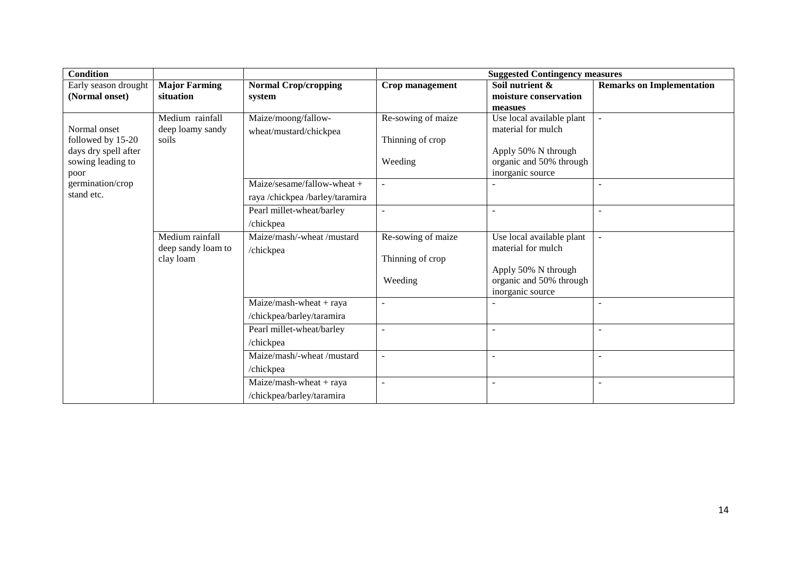| <b>Condition</b>                          |                      | <b>Suggested Contingency measures</b> |                    |                                                |                                  |  |
|-------------------------------------------|----------------------|---------------------------------------|--------------------|------------------------------------------------|----------------------------------|--|
| Early season drought                      | <b>Major Farming</b> | <b>Normal Crop/cropping</b>           | Crop management    | Soil nutrient &                                | <b>Remarks on Implementation</b> |  |
| (Normal onset)                            | situation            | system                                |                    | moisture conservation                          |                                  |  |
|                                           |                      |                                       |                    | measues                                        |                                  |  |
|                                           | Medium rainfall      | Maize/moong/fallow-                   | Re-sowing of maize | Use local available plant                      | $\sim$                           |  |
| Normal onset                              | deep loamy sandy     | wheat/mustard/chickpea                |                    | material for mulch                             |                                  |  |
| followed by 15-20                         | soils                |                                       | Thinning of crop   |                                                |                                  |  |
| days dry spell after<br>sowing leading to |                      |                                       | Weeding            | Apply 50% N through<br>organic and 50% through |                                  |  |
| poor                                      |                      |                                       |                    | inorganic source                               |                                  |  |
| germination/crop                          |                      | Maize/sesame/fallow-wheat +           |                    |                                                | $\overline{a}$                   |  |
| stand etc.                                |                      | raya /chickpea /barley/taramira       |                    |                                                |                                  |  |
|                                           |                      | Pearl millet-wheat/barley             |                    | $\blacksquare$                                 | $\blacksquare$                   |  |
|                                           |                      |                                       |                    |                                                |                                  |  |
|                                           |                      | /chickpea                             |                    |                                                |                                  |  |
|                                           | Medium rainfall      | Maize/mash/-wheat/mustard             | Re-sowing of maize | Use local available plant                      | $\blacksquare$                   |  |
|                                           | deep sandy loam to   | /chickpea                             |                    | material for mulch                             |                                  |  |
|                                           | clay loam            |                                       | Thinning of crop   | Apply 50% N through                            |                                  |  |
|                                           |                      |                                       | Weeding            | organic and 50% through                        |                                  |  |
|                                           |                      |                                       |                    | inorganic source                               |                                  |  |
|                                           |                      | $Maize/mash$ -wheat + raya            |                    |                                                | ۰                                |  |
|                                           |                      | /chickpea/barley/taramira             |                    |                                                |                                  |  |
|                                           |                      | Pearl millet-wheat/barley             | $\sim$             | $\overline{a}$                                 | ٠                                |  |
|                                           |                      | /chickpea                             |                    |                                                |                                  |  |
|                                           |                      |                                       |                    |                                                |                                  |  |
|                                           |                      | Maize/mash/-wheat/mustard             | $\blacksquare$     | $\overline{\phantom{a}}$                       | ٠                                |  |
|                                           |                      | /chickpea                             |                    |                                                |                                  |  |
|                                           |                      | $Maize/mash$ -wheat + raya            | $\sim$             | $\overline{\phantom{a}}$                       | ٠                                |  |
|                                           |                      | /chickpea/barley/taramira             |                    |                                                |                                  |  |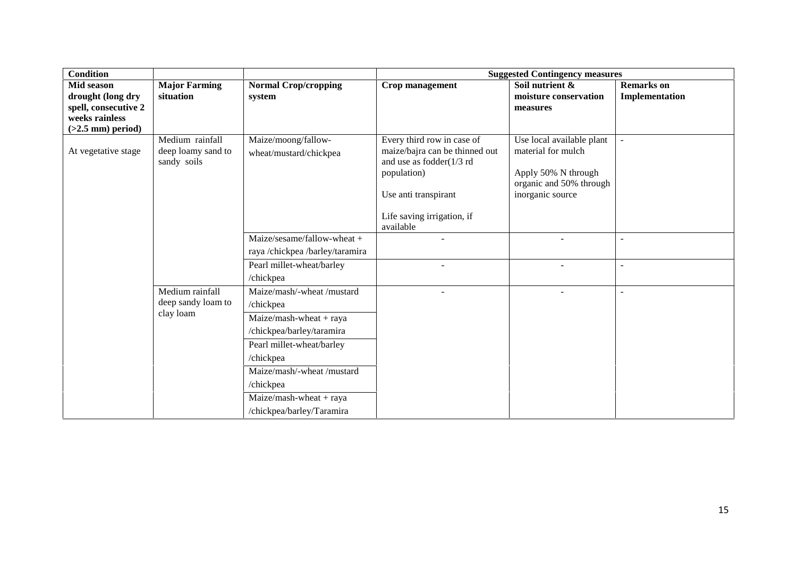| <b>Condition</b>                       |                      |                                 |                                | <b>Suggested Contingency measures</b>       |                   |
|----------------------------------------|----------------------|---------------------------------|--------------------------------|---------------------------------------------|-------------------|
| Mid season                             | <b>Major Farming</b> | <b>Normal Crop/cropping</b>     | <b>Crop management</b>         | Soil nutrient &                             | <b>Remarks</b> on |
| drought (long dry                      | situation            | system                          |                                | moisture conservation                       | Implementation    |
| spell, consecutive 2<br>weeks rainless |                      |                                 |                                | measures                                    |                   |
| $(>2.5$ mm) period)                    |                      |                                 |                                |                                             |                   |
|                                        | Medium rainfall      | Maize/moong/fallow-             | Every third row in case of     | Use local available plant                   | $\blacksquare$    |
| At vegetative stage                    | deep loamy sand to   | wheat/mustard/chickpea          | maize/bajra can be thinned out | material for mulch                          |                   |
|                                        | sandy soils          |                                 | and use as fodder(1/3 rd       |                                             |                   |
|                                        |                      |                                 | population)                    | Apply 50% N through                         |                   |
|                                        |                      |                                 | Use anti transpirant           | organic and 50% through<br>inorganic source |                   |
|                                        |                      |                                 |                                |                                             |                   |
|                                        |                      |                                 | Life saving irrigation, if     |                                             |                   |
|                                        |                      |                                 | available                      |                                             |                   |
|                                        |                      | Maize/sesame/fallow-wheat +     |                                |                                             | $\blacksquare$    |
|                                        |                      | raya /chickpea /barley/taramira |                                |                                             |                   |
|                                        |                      | Pearl millet-wheat/barley       |                                |                                             | $\blacksquare$    |
|                                        |                      | /chickpea                       |                                |                                             |                   |
|                                        | Medium rainfall      | Maize/mash/-wheat /mustard      |                                |                                             | $\overline{a}$    |
|                                        | deep sandy loam to   | /chickpea                       |                                |                                             |                   |
|                                        | clay loam            | $Maize/mash$ -wheat + raya      |                                |                                             |                   |
|                                        |                      | /chickpea/barley/taramira       |                                |                                             |                   |
|                                        |                      | Pearl millet-wheat/barley       |                                |                                             |                   |
|                                        |                      | /chickpea                       |                                |                                             |                   |
|                                        |                      | Maize/mash/-wheat /mustard      |                                |                                             |                   |
|                                        |                      | /chickpea                       |                                |                                             |                   |
|                                        |                      | $Maize/mash$ -wheat + raya      |                                |                                             |                   |
|                                        |                      | /chickpea/barley/Taramira       |                                |                                             |                   |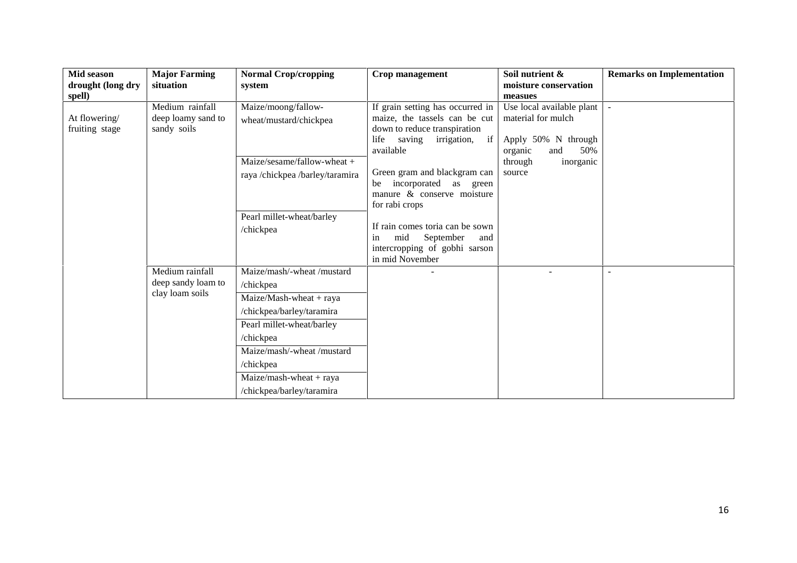| Mid season<br>drought (long dry | <b>Major Farming</b><br>situation                        | <b>Normal Crop/cropping</b><br>system                                                                                                                                                                                                           | Crop management                                                                                                                                                                                                                                                   | Soil nutrient &<br>moisture conservation                                                                                          | <b>Remarks on Implementation</b> |
|---------------------------------|----------------------------------------------------------|-------------------------------------------------------------------------------------------------------------------------------------------------------------------------------------------------------------------------------------------------|-------------------------------------------------------------------------------------------------------------------------------------------------------------------------------------------------------------------------------------------------------------------|-----------------------------------------------------------------------------------------------------------------------------------|----------------------------------|
| spell)                          |                                                          |                                                                                                                                                                                                                                                 |                                                                                                                                                                                                                                                                   | measues                                                                                                                           |                                  |
| At flowering/<br>fruiting stage | Medium rainfall<br>deep loamy sand to<br>sandy soils     | Maize/moong/fallow-<br>wheat/mustard/chickpea<br>Maize/sesame/fallow-wheat +<br>raya /chickpea /barley/taramira                                                                                                                                 | If grain setting has occurred in<br>maize, the tassels can be cut<br>down to reduce transpiration<br>life<br>saving<br>irrigation,<br>if<br>available<br>Green gram and blackgram can<br>be incorporated as green<br>manure & conserve moisture<br>for rabi crops | Use local available plant<br>material for mulch<br>Apply 50% N through<br>50%<br>and<br>organic<br>through<br>inorganic<br>source |                                  |
|                                 |                                                          | Pearl millet-wheat/barley<br>/chickpea                                                                                                                                                                                                          | If rain comes toria can be sown<br>September<br>mid<br>and<br>in<br>intercropping of gobhi sarson<br>in mid November                                                                                                                                              |                                                                                                                                   |                                  |
|                                 | Medium rainfall<br>deep sandy loam to<br>clay loam soils | Maize/mash/-wheat /mustard<br>/chickpea<br>Maize/Mash-wheat + raya<br>/chickpea/barley/taramira<br>Pearl millet-wheat/barley<br>/chickpea<br>Maize/mash/-wheat /mustard<br>/chickpea<br>$Maize/mash$ -wheat + raya<br>/chickpea/barley/taramira |                                                                                                                                                                                                                                                                   |                                                                                                                                   | ÷                                |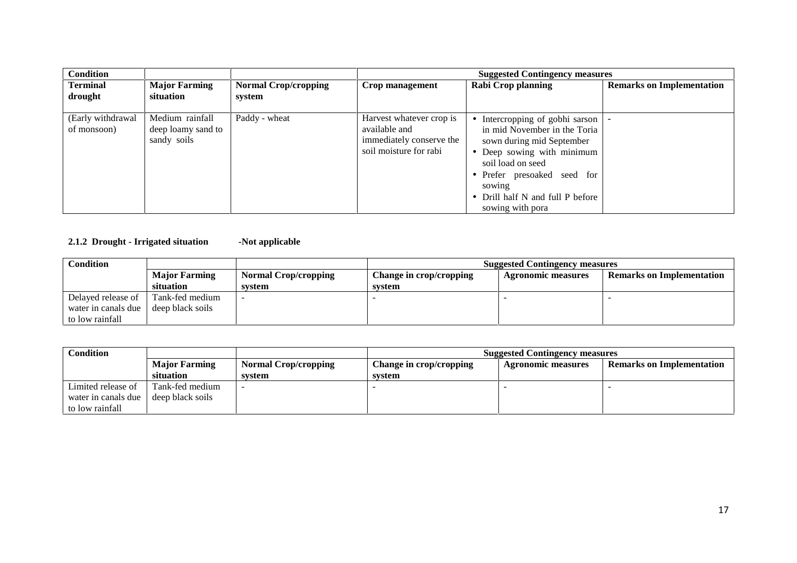| <b>Condition</b>                 |                                                      |                                       |                                                                                                 | <b>Suggested Contingency measures</b>                                                                                                                                                                                                          |                                  |
|----------------------------------|------------------------------------------------------|---------------------------------------|-------------------------------------------------------------------------------------------------|------------------------------------------------------------------------------------------------------------------------------------------------------------------------------------------------------------------------------------------------|----------------------------------|
| <b>Terminal</b><br>drought       | <b>Major Farming</b><br>situation                    | <b>Normal Crop/cropping</b><br>system | Crop management                                                                                 | Rabi Crop planning                                                                                                                                                                                                                             | <b>Remarks on Implementation</b> |
| (Early withdrawal<br>of monsoon) | Medium rainfall<br>deep loamy sand to<br>sandy soils | Paddy - wheat                         | Harvest whatever crop is<br>available and<br>immediately conserve the<br>soil moisture for rabi | Intercropping of gobhi sarson<br>in mid November in the Toria<br>sown during mid September<br>• Deep sowing with minimum<br>soil load on seed<br>• Prefer presoaked seed for<br>sowing<br>• Drill half N and full P before<br>sowing with pora |                                  |

### **2.1.2 Drought - Irrigated situation -Not applicable**

| Condition           |                      |                             | <b>Suggested Contingency measures</b> |                           |                                  |
|---------------------|----------------------|-----------------------------|---------------------------------------|---------------------------|----------------------------------|
|                     | <b>Major Farming</b> | <b>Normal Crop/cropping</b> | Change in crop/cropping               | <b>Agronomic measures</b> | <b>Remarks on Implementation</b> |
|                     | situation            | system                      | system                                |                           |                                  |
| Delayed release of  | Tank-fed medium      |                             |                                       |                           |                                  |
| water in canals due | deep black soils     |                             |                                       |                           |                                  |
| to low rainfall     |                      |                             |                                       |                           |                                  |

| Condition           |                      |                      | <b>Suggested Contingency measures</b> |                           |                                  |
|---------------------|----------------------|----------------------|---------------------------------------|---------------------------|----------------------------------|
|                     | <b>Major Farming</b> | Normal Crop/cropping | Change in crop/cropping               | <b>Agronomic measures</b> | <b>Remarks on Implementation</b> |
|                     | situation            | system               | svstem                                |                           |                                  |
| Limited release of  | Tank-fed medium      |                      |                                       |                           |                                  |
| water in canals due | deep black soils     |                      |                                       |                           |                                  |
| to low rainfall     |                      |                      |                                       |                           |                                  |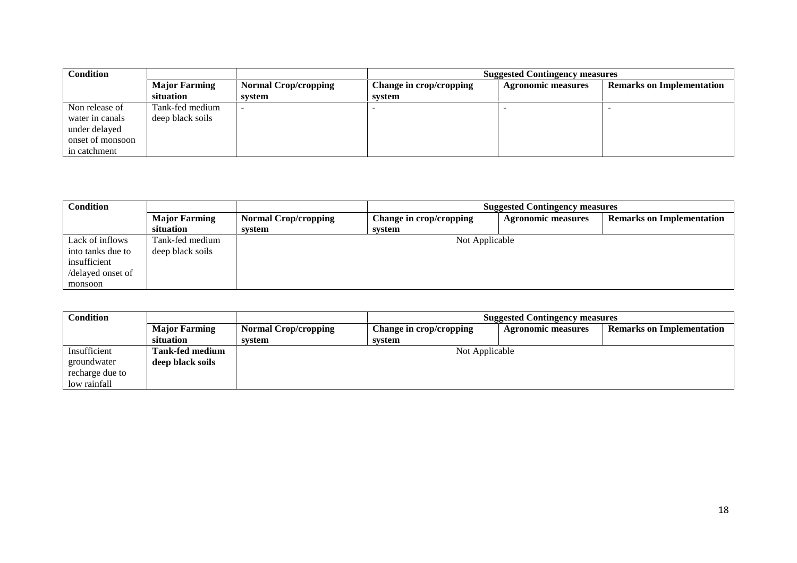| Condition        |                      |                             | <b>Suggested Contingency measures</b> |                           |                                  |
|------------------|----------------------|-----------------------------|---------------------------------------|---------------------------|----------------------------------|
|                  | <b>Major Farming</b> | <b>Normal Crop/cropping</b> | Change in crop/cropping               | <b>Agronomic measures</b> | <b>Remarks on Implementation</b> |
|                  | situation            | svstem                      | svstem                                |                           |                                  |
| Non release of   | Tank-fed medium      |                             |                                       |                           |                                  |
| water in canals  | deep black soils     |                             |                                       |                           |                                  |
| under delayed    |                      |                             |                                       |                           |                                  |
| onset of monsoon |                      |                             |                                       |                           |                                  |
| in catchment     |                      |                             |                                       |                           |                                  |

| <b>Condition</b>  |                      |                             | <b>Suggested Contingency measures</b> |                           |                                  |
|-------------------|----------------------|-----------------------------|---------------------------------------|---------------------------|----------------------------------|
|                   | <b>Major Farming</b> | <b>Normal Crop/cropping</b> | Change in crop/cropping               | <b>Agronomic measures</b> | <b>Remarks on Implementation</b> |
|                   | <b>situation</b>     | system                      | system                                |                           |                                  |
| Lack of inflows   | Tank-fed medium      |                             | Not Applicable                        |                           |                                  |
| into tanks due to | deep black soils     |                             |                                       |                           |                                  |
| insufficient      |                      |                             |                                       |                           |                                  |
| /delayed onset of |                      |                             |                                       |                           |                                  |
| monsoon           |                      |                             |                                       |                           |                                  |

| Condition       |                        |                             | <b>Suggested Contingency measures</b> |                           |                                  |
|-----------------|------------------------|-----------------------------|---------------------------------------|---------------------------|----------------------------------|
|                 | <b>Major Farming</b>   | <b>Normal Crop/cropping</b> | Change in crop/cropping               | <b>Agronomic measures</b> | <b>Remarks on Implementation</b> |
|                 | situation              | system                      | system                                |                           |                                  |
| Insufficient    | <b>Tank-fed medium</b> | Not Applicable              |                                       |                           |                                  |
| groundwater     | deep black soils       |                             |                                       |                           |                                  |
| recharge due to |                        |                             |                                       |                           |                                  |
| low rainfall    |                        |                             |                                       |                           |                                  |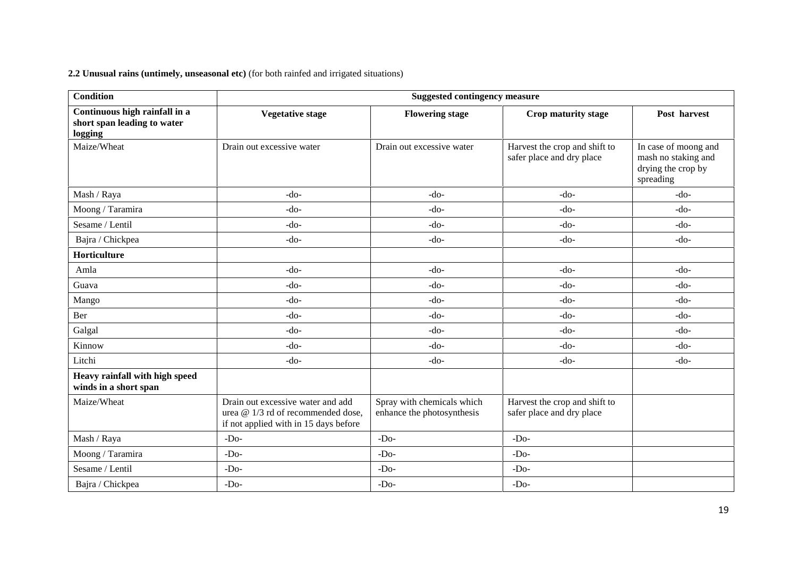**2.2 Unusual rains (untimely, unseasonal etc)** (for both rainfed and irrigated situations)

| <b>Condition</b>                                                        | <b>Suggested contingency measure</b>                                                                             |                                                          |                                                            |                                                                                |  |  |
|-------------------------------------------------------------------------|------------------------------------------------------------------------------------------------------------------|----------------------------------------------------------|------------------------------------------------------------|--------------------------------------------------------------------------------|--|--|
| Continuous high rainfall in a<br>short span leading to water<br>logging | <b>Vegetative stage</b>                                                                                          | <b>Flowering stage</b>                                   | Crop maturity stage                                        | Post harvest                                                                   |  |  |
| Maize/Wheat                                                             | Drain out excessive water                                                                                        | Drain out excessive water                                | Harvest the crop and shift to<br>safer place and dry place | In case of moong and<br>mash no staking and<br>drying the crop by<br>spreading |  |  |
| Mash / Raya                                                             | $-do-$                                                                                                           | $-do-$                                                   | $-do-$                                                     | $-do-$                                                                         |  |  |
| Moong / Taramira                                                        | $-do-$                                                                                                           | $-do-$                                                   | $-do-$                                                     | $-do-$                                                                         |  |  |
| Sesame / Lentil                                                         | $-do-$                                                                                                           | $-do-$                                                   | $-do-$                                                     | $-do-$                                                                         |  |  |
| Bajra / Chickpea                                                        | $-do-$                                                                                                           | $-do-$                                                   | $-do-$                                                     | $-do-$                                                                         |  |  |
| Horticulture                                                            |                                                                                                                  |                                                          |                                                            |                                                                                |  |  |
| Amla                                                                    | $-do-$                                                                                                           | $-do-$                                                   | $-do-$                                                     | $-do-$                                                                         |  |  |
| Guava                                                                   | $-do-$                                                                                                           | $-do-$                                                   | $-do-$                                                     | $-do-$                                                                         |  |  |
| Mango                                                                   | $-do-$                                                                                                           | $-do-$                                                   | $-do-$                                                     | $-do-$                                                                         |  |  |
| Ber                                                                     | $-do-$                                                                                                           | $-do-$                                                   | $-do-$                                                     | $-do-$                                                                         |  |  |
| Galgal                                                                  | $-do-$                                                                                                           | $-do-$                                                   | $-do-$                                                     | $-do-$                                                                         |  |  |
| Kinnow                                                                  | $-do-$                                                                                                           | $-do-$                                                   | $-do-$                                                     | $-do-$                                                                         |  |  |
| Litchi                                                                  | $-do-$                                                                                                           | $-do-$                                                   | $-do-$                                                     | $-do-$                                                                         |  |  |
| Heavy rainfall with high speed<br>winds in a short span                 |                                                                                                                  |                                                          |                                                            |                                                                                |  |  |
| Maize/Wheat                                                             | Drain out excessive water and add<br>urea @ 1/3 rd of recommended dose,<br>if not applied with in 15 days before | Spray with chemicals which<br>enhance the photosynthesis | Harvest the crop and shift to<br>safer place and dry place |                                                                                |  |  |
| Mash / Raya                                                             | $-Do-$                                                                                                           | $-Do-$                                                   | $-Do-$                                                     |                                                                                |  |  |
| Moong / Taramira                                                        | $-Do-$                                                                                                           | $-Do-$                                                   | $-Do-$                                                     |                                                                                |  |  |
| Sesame / Lentil                                                         | $-Do-$                                                                                                           | $-Do-$                                                   | $-Do-$                                                     |                                                                                |  |  |
| Bajra / Chickpea                                                        | $-Do-$                                                                                                           | $-Do-$                                                   | $-Do-$                                                     |                                                                                |  |  |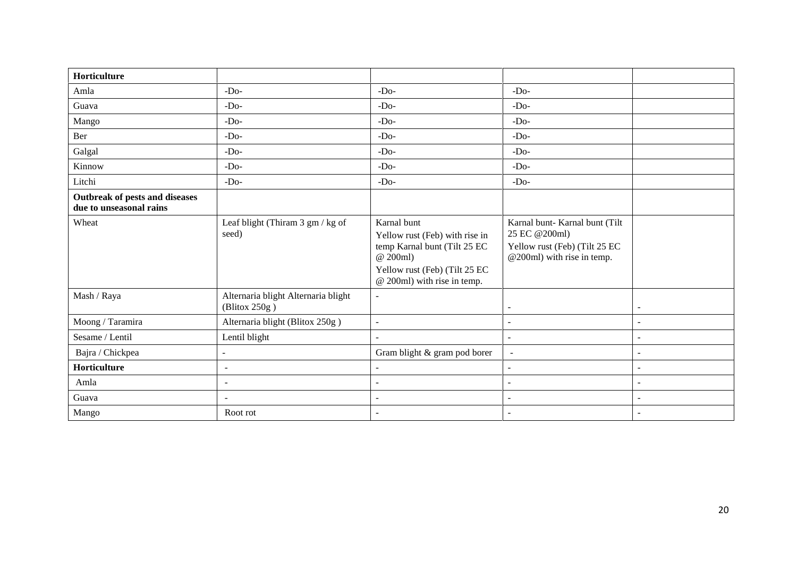| Horticulture                                              |                                                      |                                                                                                                                                           |                                                                                                                |
|-----------------------------------------------------------|------------------------------------------------------|-----------------------------------------------------------------------------------------------------------------------------------------------------------|----------------------------------------------------------------------------------------------------------------|
| Amla                                                      | $-Do-$                                               | $-Do-$                                                                                                                                                    | $-Do-$                                                                                                         |
| Guava                                                     | $-Do-$                                               | $-Do-$                                                                                                                                                    | $-Do-$                                                                                                         |
| Mango                                                     | $-Do-$                                               | $-Do-$                                                                                                                                                    | $-Do-$                                                                                                         |
| Ber                                                       | $-Do-$                                               | $-Do-$                                                                                                                                                    | $-Do-$                                                                                                         |
| Galgal                                                    | $-Do-$                                               | $-Do-$                                                                                                                                                    | $-Do-$                                                                                                         |
| Kinnow                                                    | $-Do-$                                               | $-Do-$                                                                                                                                                    | $-Do-$                                                                                                         |
| Litchi                                                    | $-Do-$                                               | $-Do-$                                                                                                                                                    | $-Do-$                                                                                                         |
| Outbreak of pests and diseases<br>due to unseasonal rains |                                                      |                                                                                                                                                           |                                                                                                                |
| Wheat                                                     | Leaf blight (Thiram 3 gm / kg of<br>seed)            | Karnal bunt<br>Yellow rust (Feb) with rise in<br>temp Karnal bunt (Tilt 25 EC<br>@ 200ml)<br>Yellow rust (Feb) (Tilt 25 EC<br>@ 200ml) with rise in temp. | Karnal bunt- Karnal bunt (Tilt<br>25 EC @200ml)<br>Yellow rust (Feb) (Tilt 25 EC<br>@200ml) with rise in temp. |
| Mash / Raya                                               | Alternaria blight Alternaria blight<br>(Blitox 250g) | $\overline{a}$                                                                                                                                            | $\blacksquare$<br>$\overline{\phantom{a}}$                                                                     |
| Moong / Taramira                                          | Alternaria blight (Blitox 250g)                      | $\sim$                                                                                                                                                    | $\overline{\phantom{a}}$<br>$\overline{\phantom{a}}$                                                           |
| Sesame / Lentil                                           | Lentil blight                                        |                                                                                                                                                           | $\blacksquare$<br>$\overline{\phantom{a}}$                                                                     |
| Bajra / Chickpea                                          | $\overline{a}$                                       | Gram blight & gram pod borer                                                                                                                              | $\blacksquare$<br>$\sim$                                                                                       |
| Horticulture                                              | $\sim$                                               | $\overline{a}$                                                                                                                                            | $\overline{a}$<br>$\sim$                                                                                       |
| Amla                                                      | $\blacksquare$                                       | $\overline{a}$                                                                                                                                            | $\blacksquare$<br>$\overline{\phantom{a}}$                                                                     |
| Guava                                                     | $\blacksquare$                                       | $\overline{a}$                                                                                                                                            | $\overline{\phantom{a}}$<br>$\overline{\phantom{a}}$                                                           |
| Mango                                                     | Root rot                                             | $\overline{\phantom{a}}$                                                                                                                                  | $\overline{\phantom{a}}$                                                                                       |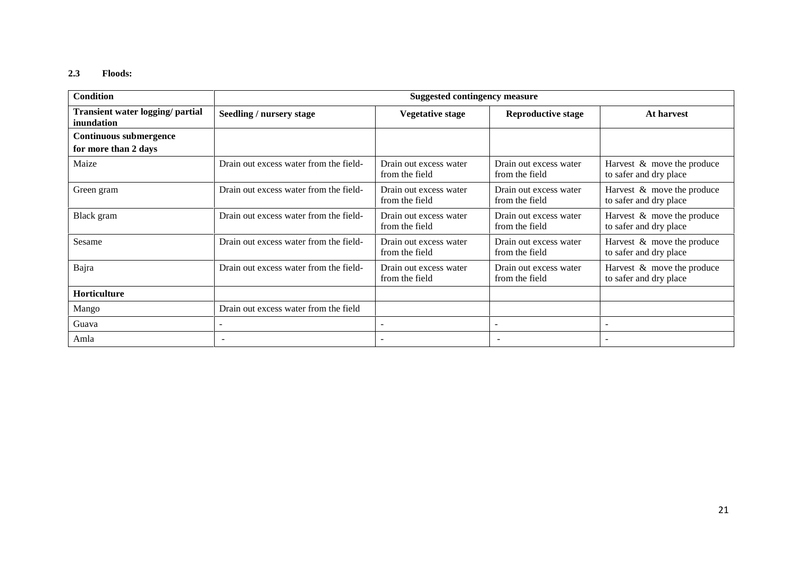#### **2.3 Floods:**

| <b>Condition</b>                               |                                        | <b>Suggested contingency measure</b>     |                                          |                                                         |
|------------------------------------------------|----------------------------------------|------------------------------------------|------------------------------------------|---------------------------------------------------------|
| Transient water logging/ partial<br>inundation | Seedling / nursery stage               | <b>Vegetative stage</b>                  | <b>Reproductive stage</b>                | At harvest                                              |
| <b>Continuous submergence</b>                  |                                        |                                          |                                          |                                                         |
| for more than 2 days                           |                                        |                                          |                                          |                                                         |
| Maize                                          | Drain out excess water from the field- | Drain out excess water<br>from the field | Drain out excess water<br>from the field | Harvest $\&$ move the produce<br>to safer and dry place |
| Green gram                                     | Drain out excess water from the field- | Drain out excess water<br>from the field | Drain out excess water<br>from the field | Harvest $\&$ move the produce<br>to safer and dry place |
| Black gram                                     | Drain out excess water from the field- | Drain out excess water<br>from the field | Drain out excess water<br>from the field | Harvest & move the produce<br>to safer and dry place    |
| Sesame                                         | Drain out excess water from the field- | Drain out excess water<br>from the field | Drain out excess water<br>from the field | Harvest $\&$ move the produce<br>to safer and dry place |
| Bajra                                          | Drain out excess water from the field- | Drain out excess water<br>from the field | Drain out excess water<br>from the field | Harvest & move the produce<br>to safer and dry place    |
| Horticulture                                   |                                        |                                          |                                          |                                                         |
| Mango                                          | Drain out excess water from the field  |                                          |                                          |                                                         |
| Guava                                          |                                        | $\overline{\phantom{a}}$                 |                                          | $\overline{\phantom{0}}$                                |
| Amla                                           |                                        |                                          |                                          |                                                         |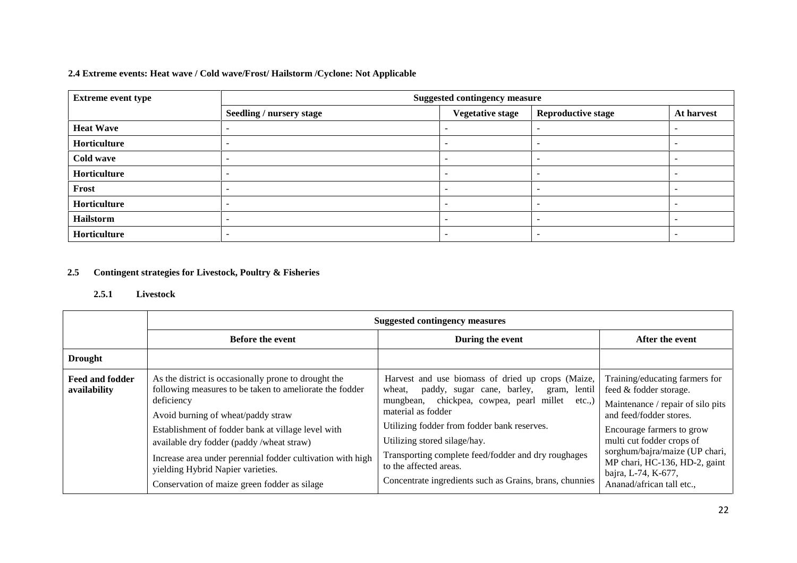### **2.4 Extreme events: Heat wave / Cold wave/Frost/ Hailstorm /Cyclone: Not Applicable**

| <b>Extreme event type</b> | <b>Suggested contingency measure</b> |                          |                           |                          |  |  |
|---------------------------|--------------------------------------|--------------------------|---------------------------|--------------------------|--|--|
|                           | <b>Seedling / nursery stage</b>      | <b>Vegetative stage</b>  | <b>Reproductive stage</b> | At harvest               |  |  |
| <b>Heat Wave</b>          |                                      |                          |                           | $\overline{\phantom{a}}$ |  |  |
| Horticulture              |                                      | $\overline{\phantom{0}}$ | $\overline{\phantom{a}}$  | $\overline{\phantom{0}}$ |  |  |
| Cold wave                 | -                                    | $\overline{\phantom{a}}$ | -                         | $\overline{\phantom{0}}$ |  |  |
| Horticulture              |                                      | $\overline{\phantom{a}}$ |                           | $\overline{\phantom{a}}$ |  |  |
| Frost                     | -                                    | $\overline{\phantom{0}}$ | $\overline{\phantom{a}}$  | $\overline{\phantom{a}}$ |  |  |
| Horticulture              |                                      | $\overline{\phantom{a}}$ | -                         | $\overline{\phantom{0}}$ |  |  |
| Hailstorm                 |                                      | $\overline{\phantom{0}}$ | -                         | $\overline{\phantom{a}}$ |  |  |
| Horticulture              |                                      | $\overline{\phantom{a}}$ | $\overline{\phantom{0}}$  | $\overline{\phantom{a}}$ |  |  |

## **2.5 Contingent strategies for Livestock, Poultry & Fisheries**

#### **2.5.1 Livestock**

|                                        | <b>Suggested contingency measures</b>                                                                                                                                                                                                                                                                                                                                                                                     |                                                                                                                                                                                                                                                                                                                                                                                                            |                                                                                                                                                                                                                                                                                                           |  |
|----------------------------------------|---------------------------------------------------------------------------------------------------------------------------------------------------------------------------------------------------------------------------------------------------------------------------------------------------------------------------------------------------------------------------------------------------------------------------|------------------------------------------------------------------------------------------------------------------------------------------------------------------------------------------------------------------------------------------------------------------------------------------------------------------------------------------------------------------------------------------------------------|-----------------------------------------------------------------------------------------------------------------------------------------------------------------------------------------------------------------------------------------------------------------------------------------------------------|--|
|                                        | <b>Before the event</b>                                                                                                                                                                                                                                                                                                                                                                                                   | During the event                                                                                                                                                                                                                                                                                                                                                                                           | After the event                                                                                                                                                                                                                                                                                           |  |
| <b>Drought</b>                         |                                                                                                                                                                                                                                                                                                                                                                                                                           |                                                                                                                                                                                                                                                                                                                                                                                                            |                                                                                                                                                                                                                                                                                                           |  |
| <b>Feed and fodder</b><br>availability | As the district is occasionally prone to drought the<br>following measures to be taken to ameliorate the fodder<br>deficiency<br>Avoid burning of wheat/paddy straw<br>Establishment of fodder bank at village level with<br>available dry fodder (paddy /wheat straw)<br>Increase area under perennial fodder cultivation with high<br>yielding Hybrid Napier varieties.<br>Conservation of maize green fodder as silage | Harvest and use biomass of dried up crops (Maize,<br>paddy, sugar cane, barley, gram, lentil<br>wheat,<br>mungbean, chickpea, cowpea, pearl millet etc.,)<br>material as fodder<br>Utilizing fodder from fodder bank reserves.<br>Utilizing stored silage/hay.<br>Transporting complete feed/fodder and dry roughages<br>to the affected areas.<br>Concentrate ingredients such as Grains, brans, chunnies | Training/educating farmers for<br>feed & fodder storage.<br>Maintenance / repair of silo pits<br>and feed/fodder stores.<br>Encourage farmers to grow<br>multi cut fodder crops of<br>sorghum/bajra/maize (UP chari,<br>MP chari, HC-136, HD-2, gaint<br>bajra, L-74, K-677,<br>Ananad/african tall etc., |  |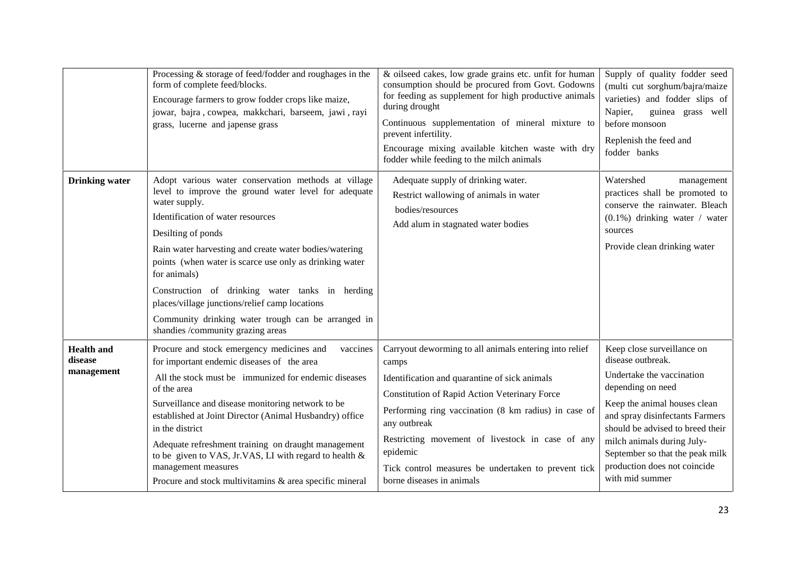|                                            | Processing $&$ storage of feed/fodder and roughages in the<br>form of complete feed/blocks.<br>Encourage farmers to grow fodder crops like maize,<br>jowar, bajra, cowpea, makkchari, barseem, jawi, rayi<br>grass, lucerne and japense grass                                                                                                                                                                                                                                                                                | & oilseed cakes, low grade grains etc. unfit for human<br>consumption should be procured from Govt. Godowns<br>for feeding as supplement for high productive animals<br>during drought<br>Continuous supplementation of mineral mixture to<br>prevent infertility.<br>Encourage mixing available kitchen waste with dry<br>fodder while feeding to the milch animals                          | Supply of quality fodder seed<br>(multi cut sorghum/bajra/maize<br>varieties) and fodder slips of<br>Napier,<br>guinea grass well<br>before monsoon<br>Replenish the feed and<br>fodder banks                                                                                                                                |
|--------------------------------------------|------------------------------------------------------------------------------------------------------------------------------------------------------------------------------------------------------------------------------------------------------------------------------------------------------------------------------------------------------------------------------------------------------------------------------------------------------------------------------------------------------------------------------|-----------------------------------------------------------------------------------------------------------------------------------------------------------------------------------------------------------------------------------------------------------------------------------------------------------------------------------------------------------------------------------------------|------------------------------------------------------------------------------------------------------------------------------------------------------------------------------------------------------------------------------------------------------------------------------------------------------------------------------|
| <b>Drinking</b> water                      | Adopt various water conservation methods at village<br>level to improve the ground water level for adequate<br>water supply.<br>Identification of water resources<br>Desilting of ponds<br>Rain water harvesting and create water bodies/watering<br>points (when water is scarce use only as drinking water<br>for animals)<br>Construction of drinking water tanks in herding<br>places/village junctions/relief camp locations<br>Community drinking water trough can be arranged in<br>shandies /community grazing areas | Adequate supply of drinking water.<br>Restrict wallowing of animals in water<br>bodies/resources<br>Add alum in stagnated water bodies                                                                                                                                                                                                                                                        | Watershed<br>management<br>practices shall be promoted to<br>conserve the rainwater. Bleach<br>$(0.1\%)$ drinking water / water<br>sources<br>Provide clean drinking water                                                                                                                                                   |
| <b>Health</b> and<br>disease<br>management | Procure and stock emergency medicines and<br>vaccines<br>for important endemic diseases of the area<br>All the stock must be immunized for endemic diseases<br>of the area<br>Surveillance and disease monitoring network to be<br>established at Joint Director (Animal Husbandry) office<br>in the district<br>Adequate refreshment training on draught management<br>to be given to VAS, Jr.VAS, LI with regard to health &<br>management measures<br>Procure and stock multivitamins & area specific mineral             | Carryout deworming to all animals entering into relief<br>camps<br>Identification and quarantine of sick animals<br>Constitution of Rapid Action Veterinary Force<br>Performing ring vaccination (8 km radius) in case of<br>any outbreak<br>Restricting movement of livestock in case of any<br>epidemic<br>Tick control measures be undertaken to prevent tick<br>borne diseases in animals | Keep close surveillance on<br>disease outbreak.<br>Undertake the vaccination<br>depending on need<br>Keep the animal houses clean<br>and spray disinfectants Farmers<br>should be advised to breed their<br>milch animals during July-<br>September so that the peak milk<br>production does not coincide<br>with mid summer |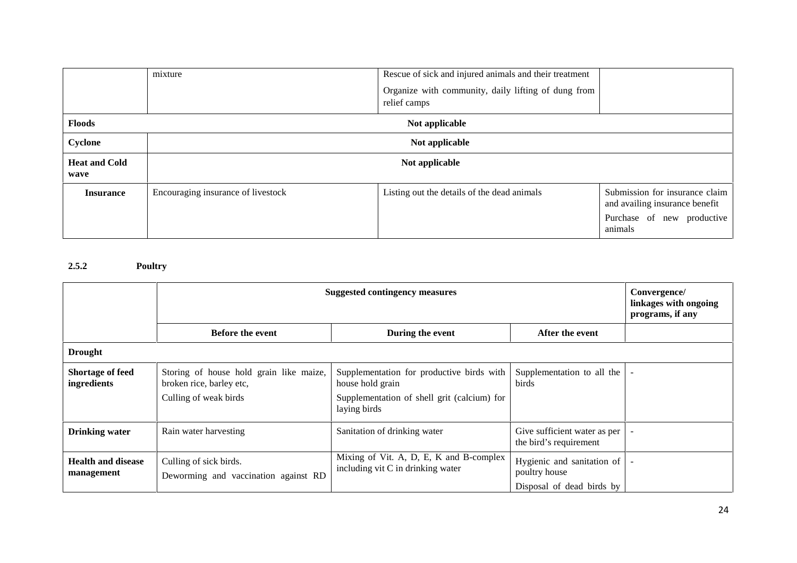|                              | mixture                            | Rescue of sick and injured animals and their treatment |                                                                  |  |  |
|------------------------------|------------------------------------|--------------------------------------------------------|------------------------------------------------------------------|--|--|
|                              |                                    | Organize with community, daily lifting of dung from    |                                                                  |  |  |
|                              |                                    | relief camps                                           |                                                                  |  |  |
| <b>Floods</b>                |                                    | Not applicable                                         |                                                                  |  |  |
| Cyclone                      | Not applicable                     |                                                        |                                                                  |  |  |
| <b>Heat and Cold</b><br>wave |                                    | Not applicable                                         |                                                                  |  |  |
| <b>Insurance</b>             | Encouraging insurance of livestock | Listing out the details of the dead animals            | Submission for insurance claim<br>and availing insurance benefit |  |  |
|                              |                                    |                                                        | Purchase of new productive<br>animals                            |  |  |

## **2.5.2 Poultry**

|                                         | <b>Suggested contingency measures</b>                               |                                                                              |                                                                          | Convergence/<br>linkages with ongoing<br>programs, if any |
|-----------------------------------------|---------------------------------------------------------------------|------------------------------------------------------------------------------|--------------------------------------------------------------------------|-----------------------------------------------------------|
|                                         | <b>Before the event</b>                                             | During the event                                                             | After the event                                                          |                                                           |
| <b>Drought</b>                          |                                                                     |                                                                              |                                                                          |                                                           |
| <b>Shortage of feed</b><br>ingredients  | Storing of house hold grain like maize,<br>broken rice, barley etc, | Supplementation for productive birds with<br>house hold grain                | Supplementation to all the<br>birds                                      |                                                           |
|                                         | Culling of weak birds                                               | Supplementation of shell grit (calcium) for<br>laying birds                  |                                                                          |                                                           |
| <b>Drinking water</b>                   | Rain water harvesting                                               | Sanitation of drinking water                                                 | Give sufficient water as per<br>the bird's requirement                   |                                                           |
| <b>Health and disease</b><br>management | Culling of sick birds.<br>Deworming and vaccination against RD      | Mixing of Vit. A, D, E, K and B-complex<br>including vit C in drinking water | Hygienic and sanitation of<br>poultry house<br>Disposal of dead birds by |                                                           |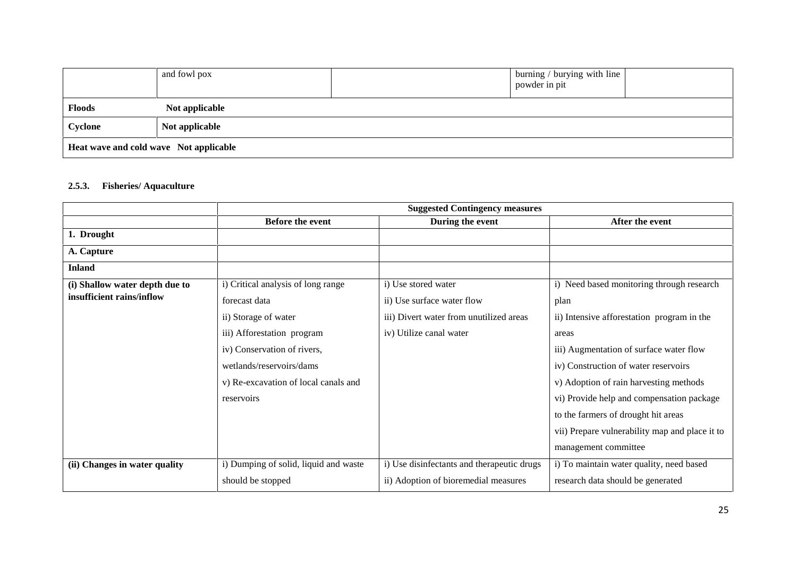|                                        | and fowl pox   |  | burning / burying with line<br>powder in pit |  |  |
|----------------------------------------|----------------|--|----------------------------------------------|--|--|
| <b>Floods</b>                          | Not applicable |  |                                              |  |  |
| Cyclone                                | Not applicable |  |                                              |  |  |
| Heat wave and cold wave Not applicable |                |  |                                              |  |  |

### **2.5.3. Fisheries/ Aquaculture**

|                                | <b>Suggested Contingency measures</b> |                                            |                                                |
|--------------------------------|---------------------------------------|--------------------------------------------|------------------------------------------------|
|                                | Before the event                      | During the event                           | After the event                                |
| 1. Drought                     |                                       |                                            |                                                |
| A. Capture                     |                                       |                                            |                                                |
| <b>Inland</b>                  |                                       |                                            |                                                |
| (i) Shallow water depth due to | i) Critical analysis of long range    | i) Use stored water                        | i) Need based monitoring through research      |
| insufficient rains/inflow      | forecast data                         | ii) Use surface water flow                 | plan                                           |
|                                | ii) Storage of water                  | iii) Divert water from unutilized areas    | ii) Intensive afforestation program in the     |
|                                | iii) Afforestation program            | iv) Utilize canal water                    | areas                                          |
|                                | iv) Conservation of rivers,           |                                            | iii) Augmentation of surface water flow        |
|                                | wetlands/reservoirs/dams              |                                            | iv) Construction of water reservoirs           |
|                                | v) Re-excavation of local canals and  |                                            | v) Adoption of rain harvesting methods         |
|                                | reservoirs                            |                                            | vi) Provide help and compensation package      |
|                                |                                       |                                            | to the farmers of drought hit areas            |
|                                |                                       |                                            | vii) Prepare vulnerability map and place it to |
|                                |                                       |                                            | management committee                           |
| (ii) Changes in water quality  | i) Dumping of solid, liquid and waste | i) Use disinfectants and therapeutic drugs | i) To maintain water quality, need based       |
|                                | should be stopped                     | ii) Adoption of bioremedial measures       | research data should be generated              |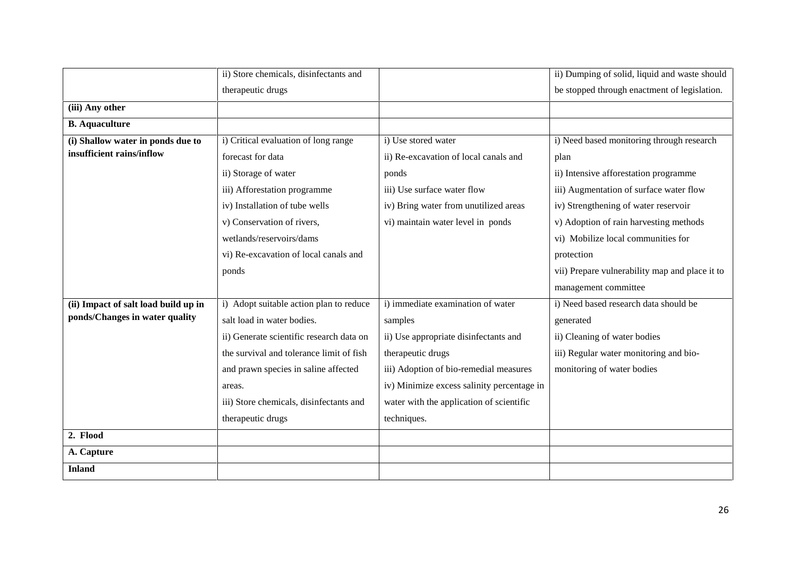|                                      | ii) Store chemicals, disinfectants and   |                                            | ii) Dumping of solid, liquid and waste should  |
|--------------------------------------|------------------------------------------|--------------------------------------------|------------------------------------------------|
|                                      | therapeutic drugs                        |                                            | be stopped through enactment of legislation.   |
| (iii) Any other                      |                                          |                                            |                                                |
| <b>B.</b> Aquaculture                |                                          |                                            |                                                |
| (i) Shallow water in ponds due to    | i) Critical evaluation of long range     | i) Use stored water                        | i) Need based monitoring through research      |
| insufficient rains/inflow            | forecast for data                        | ii) Re-excavation of local canals and      | plan                                           |
|                                      | ii) Storage of water                     | ponds                                      | ii) Intensive afforestation programme          |
|                                      | iii) Afforestation programme             | iii) Use surface water flow                | iii) Augmentation of surface water flow        |
|                                      | iv) Installation of tube wells           | iv) Bring water from unutilized areas      | iv) Strengthening of water reservoir           |
|                                      | v) Conservation of rivers,               | vi) maintain water level in ponds          | v) Adoption of rain harvesting methods         |
|                                      | wetlands/reservoirs/dams                 |                                            | vi) Mobilize local communities for             |
|                                      | vi) Re-excavation of local canals and    |                                            | protection                                     |
|                                      | ponds                                    |                                            | vii) Prepare vulnerability map and place it to |
|                                      |                                          |                                            | management committee                           |
| (ii) Impact of salt load build up in | i) Adopt suitable action plan to reduce  | i) immediate examination of water          | i) Need based research data should be          |
| ponds/Changes in water quality       | salt load in water bodies.               | samples                                    | generated                                      |
|                                      | ii) Generate scientific research data on | ii) Use appropriate disinfectants and      | ii) Cleaning of water bodies                   |
|                                      | the survival and tolerance limit of fish | therapeutic drugs                          | iii) Regular water monitoring and bio-         |
|                                      | and prawn species in saline affected     | iii) Adoption of bio-remedial measures     | monitoring of water bodies                     |
|                                      | areas.                                   | iv) Minimize excess salinity percentage in |                                                |
|                                      | iii) Store chemicals, disinfectants and  | water with the application of scientific   |                                                |
|                                      | therapeutic drugs                        | techniques.                                |                                                |
| 2. Flood                             |                                          |                                            |                                                |
| A. Capture                           |                                          |                                            |                                                |
| <b>Inland</b>                        |                                          |                                            |                                                |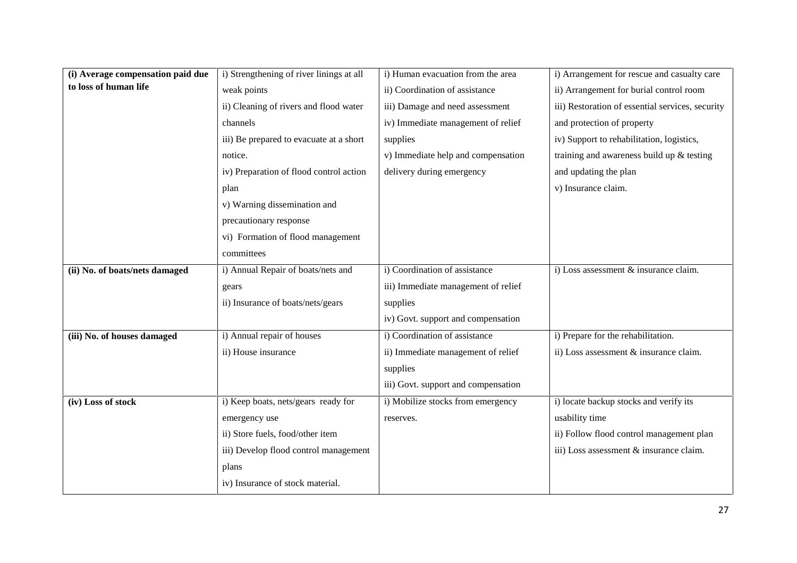| (i) Average compensation paid due | i) Strengthening of river linings at all | i) Human evacuation from the area   | i) Arrangement for rescue and casualty care      |
|-----------------------------------|------------------------------------------|-------------------------------------|--------------------------------------------------|
| to loss of human life             | weak points                              | ii) Coordination of assistance      | ii) Arrangement for burial control room          |
|                                   | ii) Cleaning of rivers and flood water   | iii) Damage and need assessment     | iii) Restoration of essential services, security |
|                                   | channels                                 | iv) Immediate management of relief  | and protection of property                       |
|                                   | iii) Be prepared to evacuate at a short  | supplies                            | iv) Support to rehabilitation, logistics,        |
|                                   | notice.                                  | v) Immediate help and compensation  | training and awareness build up & testing        |
|                                   | iv) Preparation of flood control action  | delivery during emergency           | and updating the plan                            |
|                                   | plan                                     |                                     | v) Insurance claim.                              |
|                                   | v) Warning dissemination and             |                                     |                                                  |
|                                   | precautionary response                   |                                     |                                                  |
|                                   | vi) Formation of flood management        |                                     |                                                  |
|                                   | committees                               |                                     |                                                  |
| (ii) No. of boats/nets damaged    | i) Annual Repair of boats/nets and       | i) Coordination of assistance       | i) Loss assessment & insurance claim.            |
|                                   | gears                                    | iii) Immediate management of relief |                                                  |
|                                   | ii) Insurance of boats/nets/gears        | supplies                            |                                                  |
|                                   |                                          | iv) Govt. support and compensation  |                                                  |
| (iii) No. of houses damaged       | i) Annual repair of houses               | i) Coordination of assistance       | i) Prepare for the rehabilitation.               |
|                                   | ii) House insurance                      | ii) Immediate management of relief  | ii) Loss assessment & insurance claim.           |
|                                   |                                          | supplies                            |                                                  |
|                                   |                                          | iii) Govt. support and compensation |                                                  |
| (iv) Loss of stock                | i) Keep boats, nets/gears ready for      | i) Mobilize stocks from emergency   | i) locate backup stocks and verify its           |
|                                   | emergency use                            | reserves.                           | usability time                                   |
|                                   | ii) Store fuels, food/other item         |                                     | ii) Follow flood control management plan         |
|                                   | iii) Develop flood control management    |                                     | iii) Loss assessment & insurance claim.          |
|                                   | plans                                    |                                     |                                                  |
|                                   | iv) Insurance of stock material.         |                                     |                                                  |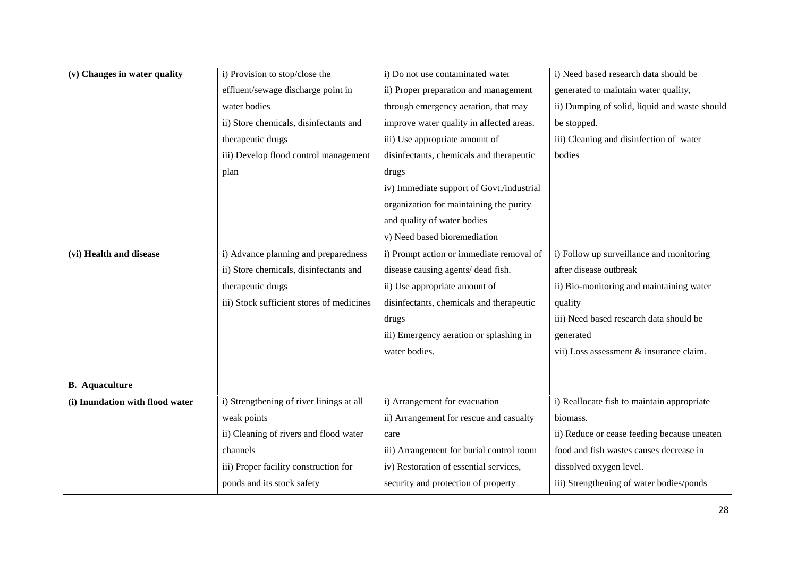| (v) Changes in water quality    | i) Provision to stop/close the            | i) Do not use contaminated water          | i) Need based research data should be         |
|---------------------------------|-------------------------------------------|-------------------------------------------|-----------------------------------------------|
|                                 | effluent/sewage discharge point in        | ii) Proper preparation and management     | generated to maintain water quality,          |
|                                 | water bodies                              | through emergency aeration, that may      | ii) Dumping of solid, liquid and waste should |
|                                 | ii) Store chemicals, disinfectants and    | improve water quality in affected areas.  | be stopped.                                   |
|                                 | therapeutic drugs                         | iii) Use appropriate amount of            | iii) Cleaning and disinfection of water       |
|                                 | iii) Develop flood control management     | disinfectants, chemicals and therapeutic  | bodies                                        |
|                                 | plan                                      | drugs                                     |                                               |
|                                 |                                           | iv) Immediate support of Govt./industrial |                                               |
|                                 |                                           | organization for maintaining the purity   |                                               |
|                                 |                                           | and quality of water bodies               |                                               |
|                                 |                                           | v) Need based bioremediation              |                                               |
| (vi) Health and disease         | i) Advance planning and preparedness      | i) Prompt action or immediate removal of  | i) Follow up surveillance and monitoring      |
|                                 | ii) Store chemicals, disinfectants and    | disease causing agents/ dead fish.        | after disease outbreak                        |
|                                 | therapeutic drugs                         | ii) Use appropriate amount of             | ii) Bio-monitoring and maintaining water      |
|                                 | iii) Stock sufficient stores of medicines | disinfectants, chemicals and therapeutic  | quality                                       |
|                                 |                                           | drugs                                     | iii) Need based research data should be       |
|                                 |                                           | iii) Emergency aeration or splashing in   | generated                                     |
|                                 |                                           | water bodies.                             | vii) Loss assessment & insurance claim.       |
|                                 |                                           |                                           |                                               |
| <b>B.</b> Aquaculture           |                                           |                                           |                                               |
| (i) Inundation with flood water | i) Strengthening of river linings at all  | i) Arrangement for evacuation             | i) Reallocate fish to maintain appropriate    |
|                                 | weak points                               | ii) Arrangement for rescue and casualty   | biomass.                                      |
|                                 | ii) Cleaning of rivers and flood water    | care                                      | ii) Reduce or cease feeding because uneaten   |
|                                 | channels                                  | iii) Arrangement for burial control room  | food and fish wastes causes decrease in       |
|                                 |                                           |                                           |                                               |
|                                 | iii) Proper facility construction for     | iv) Restoration of essential services,    | dissolved oxygen level.                       |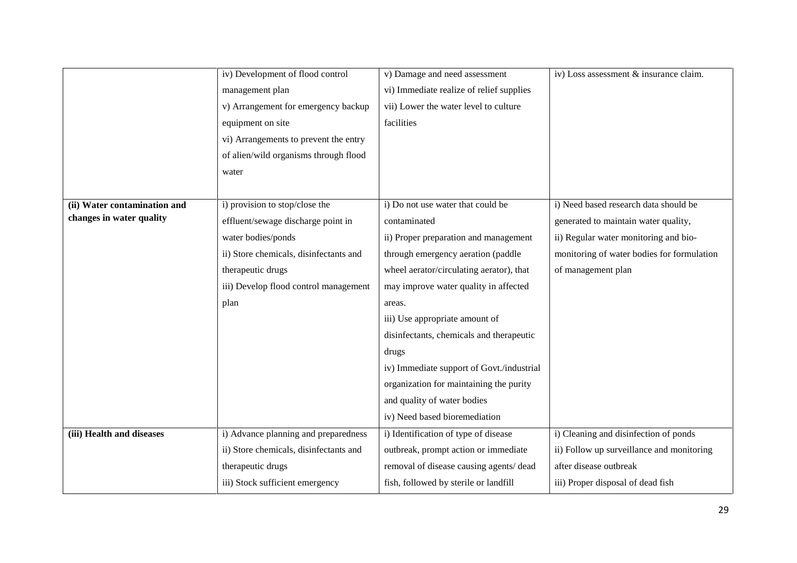|                              | iv) Development of flood control       | v) Damage and need assessment             | iv) Loss assessment & insurance claim.     |
|------------------------------|----------------------------------------|-------------------------------------------|--------------------------------------------|
|                              | management plan                        | vi) Immediate realize of relief supplies  |                                            |
|                              | v) Arrangement for emergency backup    | vii) Lower the water level to culture     |                                            |
|                              | equipment on site                      | facilities                                |                                            |
|                              | vi) Arrangements to prevent the entry  |                                           |                                            |
|                              | of alien/wild organisms through flood  |                                           |                                            |
|                              | water                                  |                                           |                                            |
|                              |                                        |                                           |                                            |
| (ii) Water contamination and | i) provision to stop/close the         | i) Do not use water that could be         | i) Need based research data should be      |
| changes in water quality     | effluent/sewage discharge point in     | contaminated                              | generated to maintain water quality,       |
|                              | water bodies/ponds                     | ii) Proper preparation and management     | ii) Regular water monitoring and bio-      |
|                              | ii) Store chemicals, disinfectants and | through emergency aeration (paddle        | monitoring of water bodies for formulation |
|                              | therapeutic drugs                      | wheel aerator/circulating aerator), that  | of management plan                         |
|                              | iii) Develop flood control management  | may improve water quality in affected     |                                            |
|                              | plan                                   | areas.                                    |                                            |
|                              |                                        | iii) Use appropriate amount of            |                                            |
|                              |                                        | disinfectants, chemicals and therapeutic  |                                            |
|                              |                                        | drugs                                     |                                            |
|                              |                                        | iv) Immediate support of Govt./industrial |                                            |
|                              |                                        | organization for maintaining the purity   |                                            |
|                              |                                        | and quality of water bodies               |                                            |
|                              |                                        | iv) Need based bioremediation             |                                            |
| (iii) Health and diseases    | i) Advance planning and preparedness   | i) Identification of type of disease      | i) Cleaning and disinfection of ponds      |
|                              | ii) Store chemicals, disinfectants and | outbreak, prompt action or immediate      | ii) Follow up surveillance and monitoring  |
|                              | therapeutic drugs                      | removal of disease causing agents/ dead   | after disease outbreak                     |
|                              | iii) Stock sufficient emergency        | fish, followed by sterile or landfill     | iii) Proper disposal of dead fish          |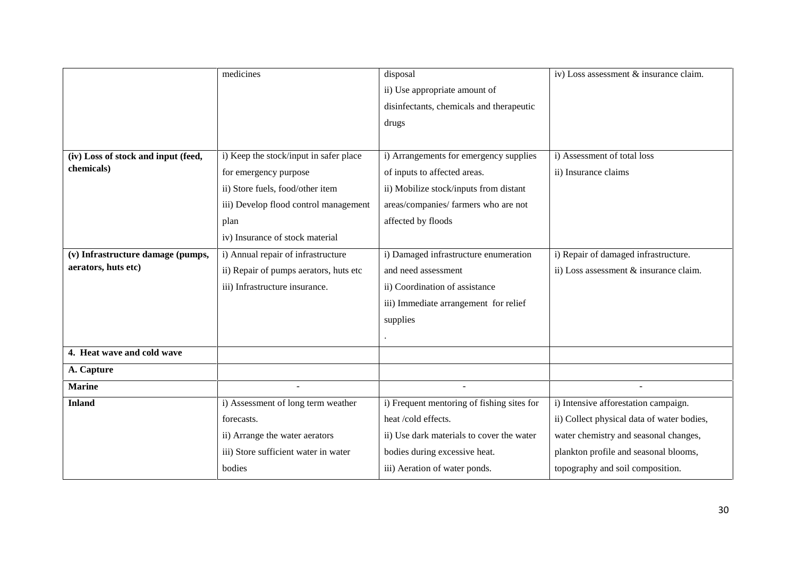|                                     | medicines                              | disposal                                   | iv) Loss assessment & insurance claim.     |
|-------------------------------------|----------------------------------------|--------------------------------------------|--------------------------------------------|
|                                     |                                        | ii) Use appropriate amount of              |                                            |
|                                     |                                        | disinfectants, chemicals and therapeutic   |                                            |
|                                     |                                        | drugs                                      |                                            |
|                                     |                                        |                                            |                                            |
| (iv) Loss of stock and input (feed, | i) Keep the stock/input in safer place | i) Arrangements for emergency supplies     | i) Assessment of total loss                |
| chemicals)                          | for emergency purpose                  | of inputs to affected areas.               | ii) Insurance claims                       |
|                                     | ii) Store fuels, food/other item       | ii) Mobilize stock/inputs from distant     |                                            |
|                                     | iii) Develop flood control management  | areas/companies/ farmers who are not       |                                            |
|                                     | plan                                   | affected by floods                         |                                            |
|                                     | iv) Insurance of stock material        |                                            |                                            |
| (v) Infrastructure damage (pumps,   | i) Annual repair of infrastructure     | i) Damaged infrastructure enumeration      | i) Repair of damaged infrastructure.       |
| aerators, huts etc)                 | ii) Repair of pumps aerators, huts etc | and need assessment                        | ii) Loss assessment & insurance claim.     |
|                                     | iii) Infrastructure insurance.         | ii) Coordination of assistance             |                                            |
|                                     |                                        | iii) Immediate arrangement for relief      |                                            |
|                                     |                                        | supplies                                   |                                            |
|                                     |                                        |                                            |                                            |
| 4. Heat wave and cold wave          |                                        |                                            |                                            |
| A. Capture                          |                                        |                                            |                                            |
| <b>Marine</b>                       |                                        |                                            |                                            |
| <b>Inland</b>                       | i) Assessment of long term weather     | i) Frequent mentoring of fishing sites for | i) Intensive afforestation campaign.       |
|                                     | forecasts.                             | heat /cold effects.                        | ii) Collect physical data of water bodies, |
|                                     | ii) Arrange the water aerators         | ii) Use dark materials to cover the water  | water chemistry and seasonal changes,      |
|                                     | iii) Store sufficient water in water   | bodies during excessive heat.              | plankton profile and seasonal blooms,      |
|                                     | bodies                                 | iii) Aeration of water ponds.              | topography and soil composition.           |